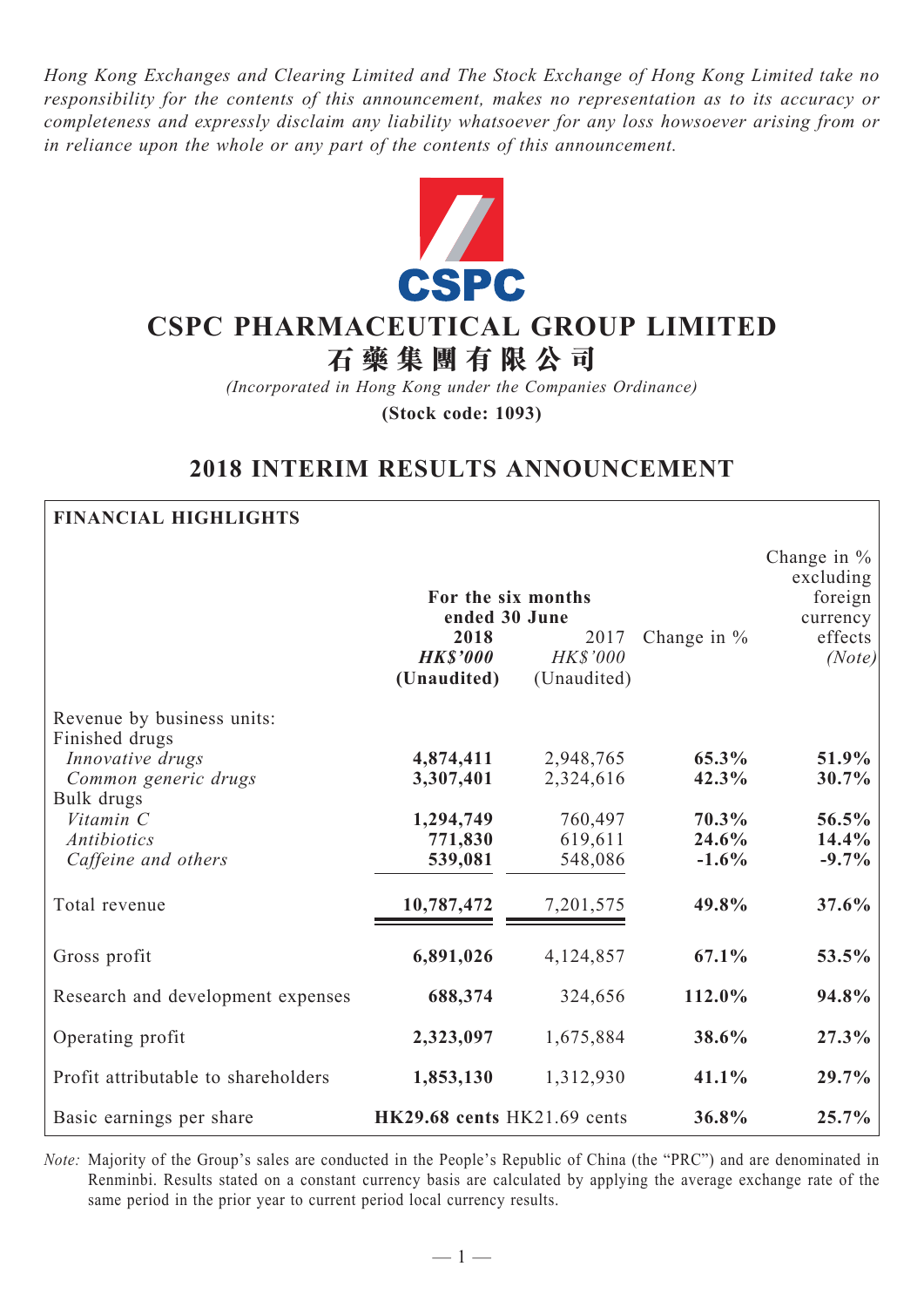*Hong Kong Exchanges and Clearing Limited and The Stock Exchange of Hong Kong Limited take no responsibility for the contents of this announcement, makes no representation as to its accuracy or completeness and expressly disclaim any liability whatsoever for any loss howsoever arising from or in reliance upon the whole or any part of the contents of this announcement.*



# **CSPC Pharmaceutical Group Limited**

**石 藥 集 團 有 限 公 司**

*(Incorporated in Hong Kong under the Companies Ordinance)* **(Stock code: 1093)**

## **2018 INTERIM RESULTS ANNOUNCEMENT**

**Financial Highlights**

|                                              |                                        |                                        |               | Change in $\%$<br>excluding |
|----------------------------------------------|----------------------------------------|----------------------------------------|---------------|-----------------------------|
|                                              | For the six months<br>ended 30 June    |                                        |               | foreign $ $<br>currency     |
|                                              | 2018<br><b>HK\$'000</b><br>(Unaudited) | 2017<br><b>HK\$'000</b><br>(Unaudited) | Change in $%$ | effects<br>(Note)           |
| Revenue by business units:<br>Finished drugs |                                        |                                        |               |                             |
| Innovative drugs                             | 4,874,411                              | 2,948,765                              | 65.3%         | 51.9%                       |
| Common generic drugs                         | 3,307,401                              | 2,324,616                              | 42.3%         | 30.7%                       |
| Bulk drugs                                   |                                        |                                        |               |                             |
| Vitamin C                                    | 1,294,749                              | 760,497                                | 70.3%         | 56.5%                       |
| Antibiotics                                  | 771,830                                | 619,611                                | 24.6%         | 14.4%                       |
| Caffeine and others                          | 539,081                                | 548,086                                | $-1.6\%$      | $-9.7\%$                    |
| Total revenue                                | 10,787,472                             | 7,201,575                              | 49.8%         | 37.6%                       |
| Gross profit                                 | 6,891,026                              | 4,124,857                              | 67.1%         | 53.5%                       |
| Research and development expenses            | 688,374                                | 324,656                                | 112.0%        | 94.8%                       |
| Operating profit                             | 2,323,097                              | 1,675,884                              | 38.6%         | 27.3%                       |
| Profit attributable to shareholders          | 1,853,130                              | 1,312,930                              | 41.1%         | 29.7%                       |
| Basic earnings per share                     | HK29.68 cents HK21.69 cents            |                                        | 36.8%         | 25.7%                       |

*Note:* Majority of the Group's sales are conducted in the People's Republic of China (the "PRC") and are denominated in Renminbi. Results stated on a constant currency basis are calculated by applying the average exchange rate of the same period in the prior year to current period local currency results.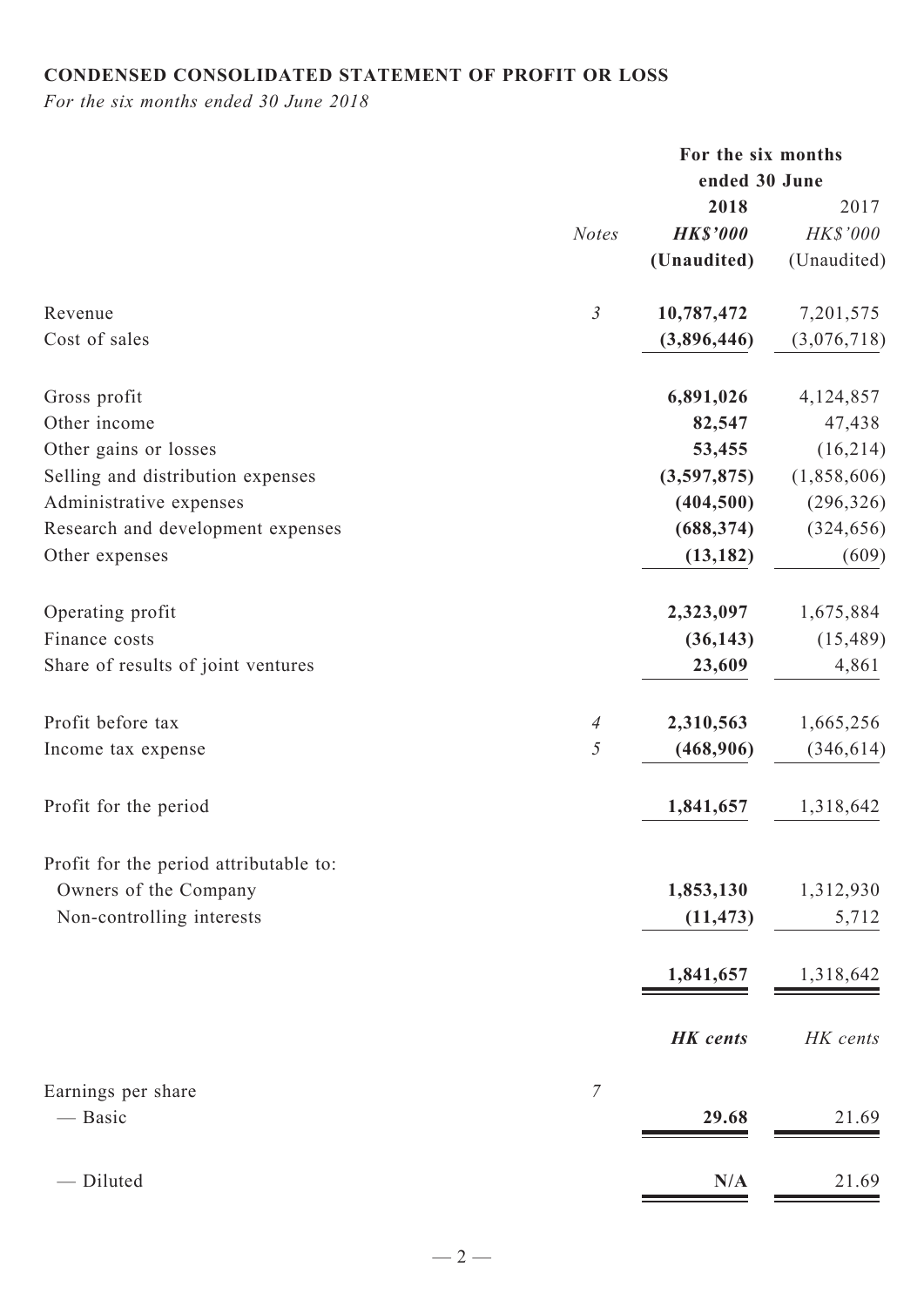## **CONDENSED CONSOLIDATED Statement of Profit or Loss**

*For the six months ended 30 June 2018*

|                                        |                  | For the six months |             |
|----------------------------------------|------------------|--------------------|-------------|
|                                        |                  | ended 30 June      |             |
|                                        |                  | 2018               | 2017        |
|                                        | <b>Notes</b>     | <b>HK\$'000</b>    | HK\$'000    |
|                                        |                  | (Unaudited)        | (Unaudited) |
| Revenue                                | $\mathfrak{Z}$   | 10,787,472         | 7,201,575   |
| Cost of sales                          |                  | (3,896,446)        | (3,076,718) |
| Gross profit                           |                  | 6,891,026          | 4,124,857   |
| Other income                           |                  | 82,547             | 47,438      |
| Other gains or losses                  |                  | 53,455             | (16, 214)   |
| Selling and distribution expenses      |                  | (3,597,875)        | (1,858,606) |
| Administrative expenses                |                  | (404, 500)         | (296, 326)  |
| Research and development expenses      |                  | (688, 374)         | (324, 656)  |
| Other expenses                         |                  | (13, 182)          | (609)       |
| Operating profit                       |                  | 2,323,097          | 1,675,884   |
| Finance costs                          |                  | (36, 143)          | (15, 489)   |
| Share of results of joint ventures     |                  | 23,609             | 4,861       |
| Profit before tax                      | $\overline{A}$   | 2,310,563          | 1,665,256   |
| Income tax expense                     | 5                | (468,906)          | (346, 614)  |
| Profit for the period                  |                  | 1,841,657          | 1,318,642   |
| Profit for the period attributable to: |                  |                    |             |
| Owners of the Company                  |                  | 1,853,130          | 1,312,930   |
| Non-controlling interests              |                  | (11, 473)          | 5,712       |
|                                        |                  | 1,841,657          | 1,318,642   |
|                                        |                  | <b>HK</b> cents    | HK cents    |
| Earnings per share                     | $\boldsymbol{7}$ |                    |             |
| — Basic                                |                  | 29.68              | 21.69       |
| - Diluted                              |                  | N/A                | 21.69       |
|                                        |                  |                    |             |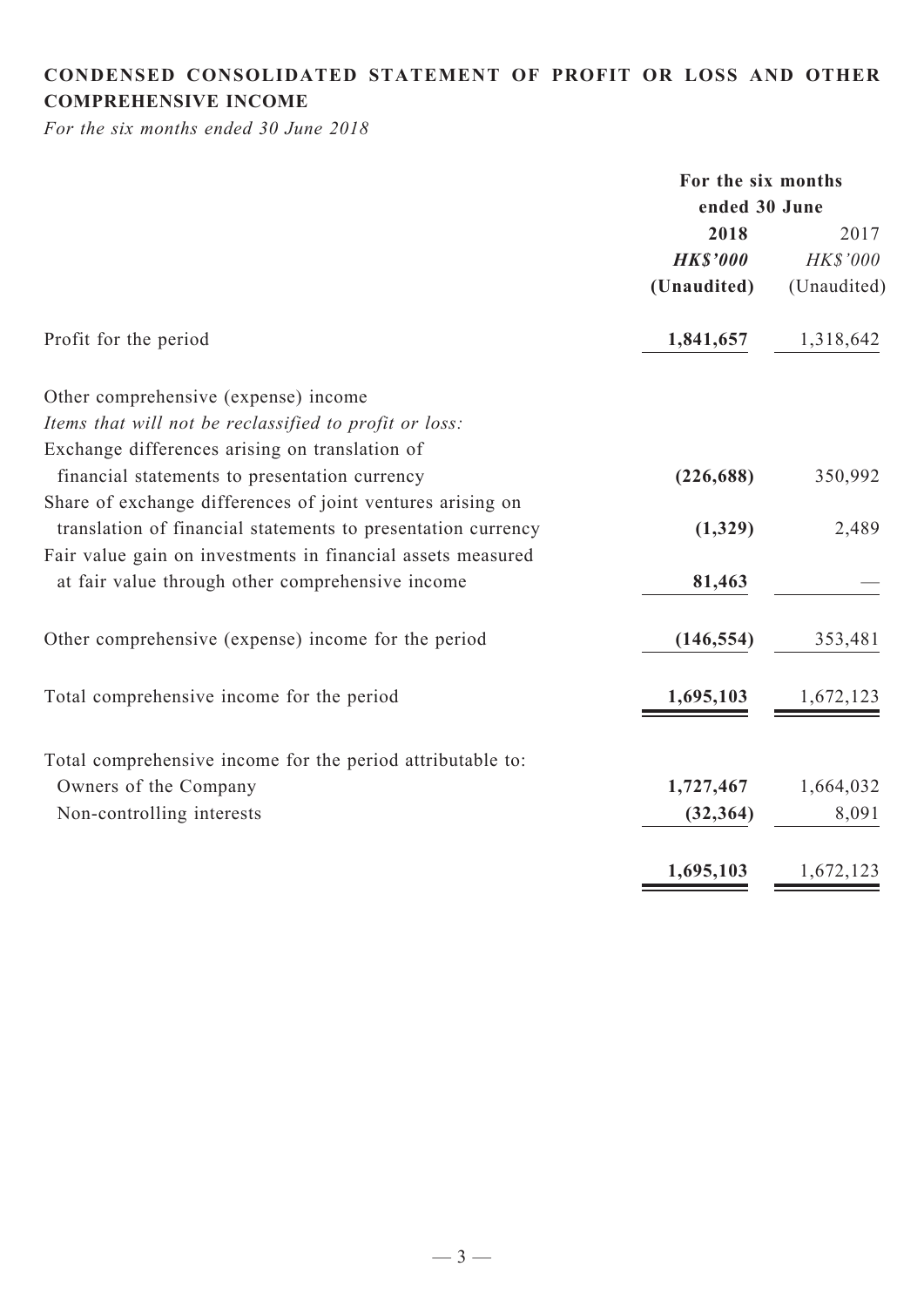## **CONDENSED CONSOLIDATED statement of Profit or Loss and Other comprehensive income**

*For the six months ended 30 June 2018*

|                                                              | For the six months |             |  |
|--------------------------------------------------------------|--------------------|-------------|--|
|                                                              | ended 30 June      |             |  |
|                                                              | 2018               | 2017        |  |
|                                                              | <b>HK\$'000</b>    | HK\$'000    |  |
|                                                              | (Unaudited)        | (Unaudited) |  |
| Profit for the period                                        | 1,841,657          | 1,318,642   |  |
| Other comprehensive (expense) income                         |                    |             |  |
| Items that will not be reclassified to profit or loss:       |                    |             |  |
| Exchange differences arising on translation of               |                    |             |  |
| financial statements to presentation currency                | (226, 688)         | 350,992     |  |
| Share of exchange differences of joint ventures arising on   |                    |             |  |
| translation of financial statements to presentation currency | (1,329)            | 2,489       |  |
| Fair value gain on investments in financial assets measured  |                    |             |  |
| at fair value through other comprehensive income             | 81,463             |             |  |
| Other comprehensive (expense) income for the period          | (146, 554)         | 353,481     |  |
| Total comprehensive income for the period                    | 1,695,103          | 1,672,123   |  |
| Total comprehensive income for the period attributable to:   |                    |             |  |
| Owners of the Company                                        | 1,727,467          | 1,664,032   |  |
| Non-controlling interests                                    | (32, 364)          | 8,091       |  |
|                                                              | 1,695,103          | 1,672,123   |  |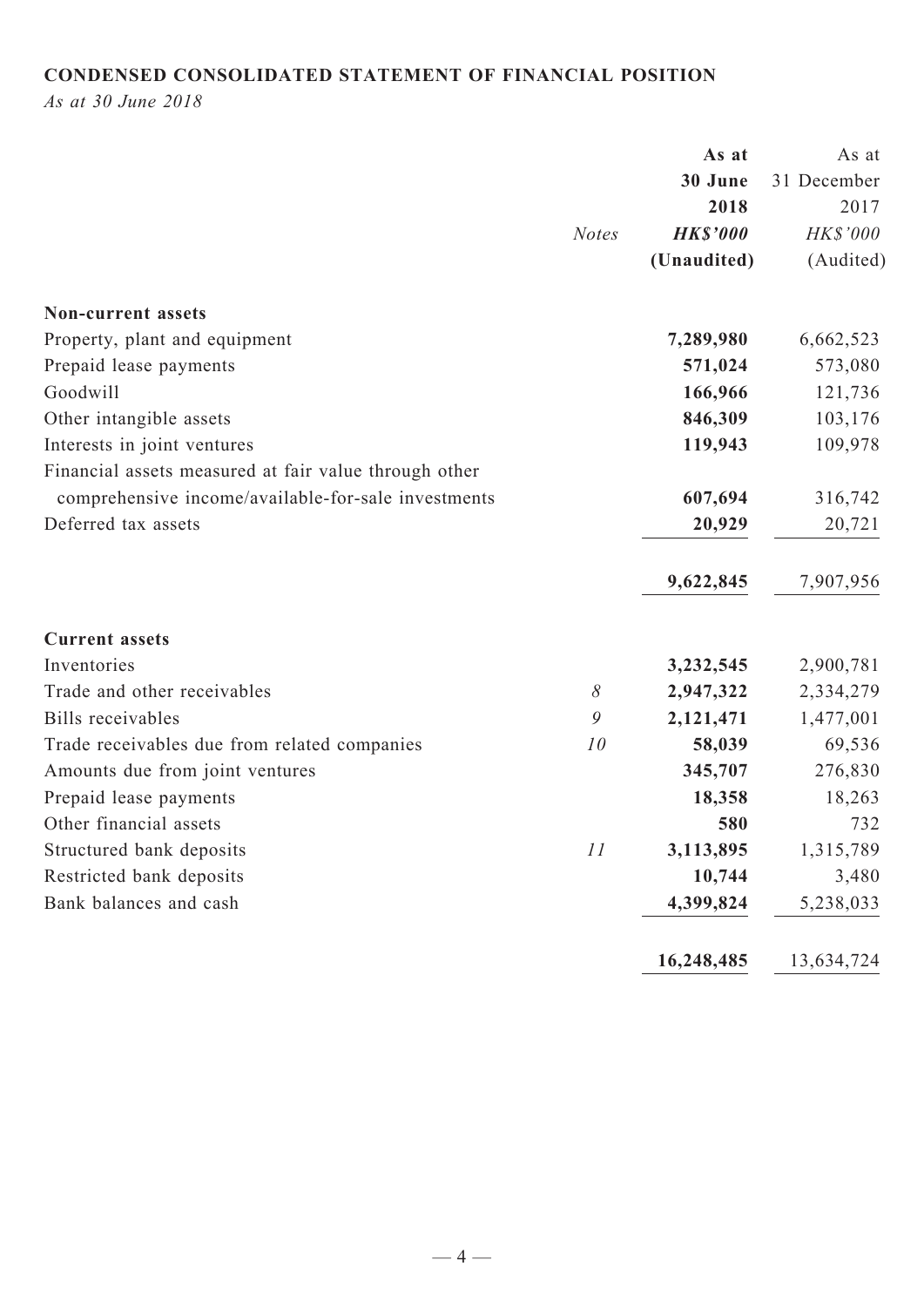## **CONDENSED CONSOLIDATED STATEMENT OF FINANCIAL POSITION**

*As at 30 June 2018*

|                                                       |              | As at           | As at       |
|-------------------------------------------------------|--------------|-----------------|-------------|
|                                                       |              | 30 June         | 31 December |
|                                                       |              | 2018            | 2017        |
|                                                       | <b>Notes</b> | <b>HK\$'000</b> | HK\$'000    |
|                                                       |              | (Unaudited)     | (Audited)   |
| <b>Non-current assets</b>                             |              |                 |             |
| Property, plant and equipment                         |              | 7,289,980       | 6,662,523   |
| Prepaid lease payments                                |              | 571,024         | 573,080     |
| Goodwill                                              |              | 166,966         | 121,736     |
| Other intangible assets                               |              | 846,309         | 103,176     |
| Interests in joint ventures                           |              | 119,943         | 109,978     |
| Financial assets measured at fair value through other |              |                 |             |
| comprehensive income/available-for-sale investments   |              | 607,694         | 316,742     |
| Deferred tax assets                                   |              | 20,929          | 20,721      |
|                                                       |              | 9,622,845       | 7,907,956   |
| <b>Current assets</b>                                 |              |                 |             |
| Inventories                                           |              | 3,232,545       | 2,900,781   |
| Trade and other receivables                           | $\delta$     | 2,947,322       | 2,334,279   |
| <b>Bills</b> receivables                              | 9            | 2,121,471       | 1,477,001   |
| Trade receivables due from related companies          | 10           | 58,039          | 69,536      |
| Amounts due from joint ventures                       |              | 345,707         | 276,830     |
| Prepaid lease payments                                |              | 18,358          | 18,263      |
| Other financial assets                                |              | 580             | 732         |
| Structured bank deposits                              | 11           | 3,113,895       | 1,315,789   |
| Restricted bank deposits                              |              | 10,744          | 3,480       |
| Bank balances and cash                                |              | 4,399,824       | 5,238,033   |
|                                                       |              | 16,248,485      | 13,634,724  |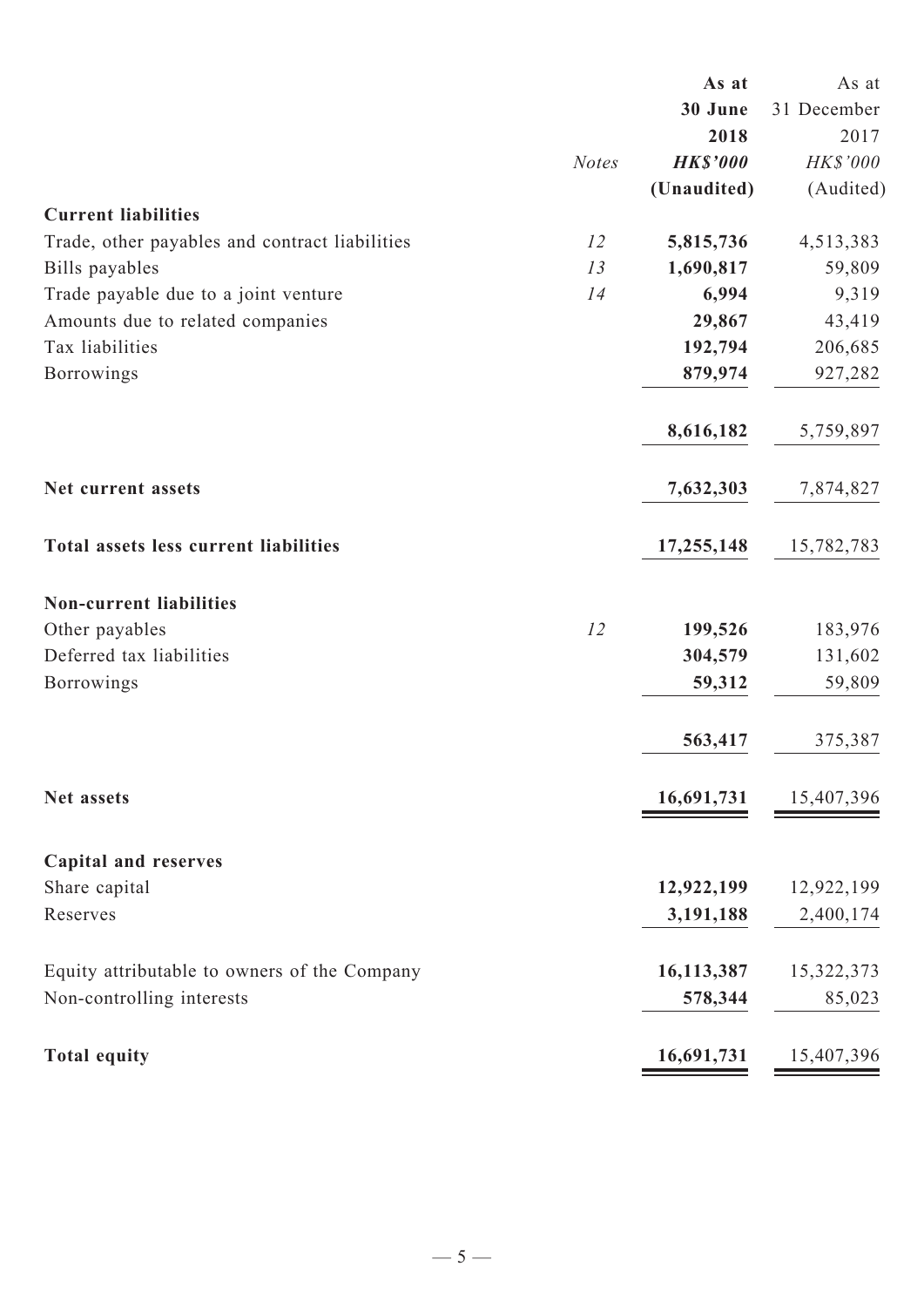|                                                |              | As at           | As at       |
|------------------------------------------------|--------------|-----------------|-------------|
|                                                |              | 30 June         | 31 December |
|                                                |              | 2018            | 2017        |
|                                                | <b>Notes</b> | <b>HK\$'000</b> | HK\$'000    |
|                                                |              | (Unaudited)     | (Audited)   |
| <b>Current liabilities</b>                     |              |                 |             |
| Trade, other payables and contract liabilities | 12           | 5,815,736       | 4,513,383   |
| Bills payables                                 | 13           | 1,690,817       | 59,809      |
| Trade payable due to a joint venture           | 14           | 6,994           | 9,319       |
| Amounts due to related companies               |              | 29,867          | 43,419      |
| Tax liabilities                                |              | 192,794         | 206,685     |
| Borrowings                                     |              | 879,974         | 927,282     |
|                                                |              | 8,616,182       | 5,759,897   |
| Net current assets                             |              | 7,632,303       | 7,874,827   |
| <b>Total assets less current liabilities</b>   |              | 17,255,148      | 15,782,783  |
| <b>Non-current liabilities</b>                 |              |                 |             |
| Other payables                                 | 12           | 199,526         | 183,976     |
| Deferred tax liabilities                       |              | 304,579         | 131,602     |
| <b>Borrowings</b>                              |              | 59,312          | 59,809      |
|                                                |              | 563,417         | 375,387     |
| Net assets                                     |              | 16,691,731      | 15,407,396  |
| <b>Capital and reserves</b>                    |              |                 |             |
| Share capital                                  |              | 12,922,199      | 12,922,199  |
| Reserves                                       |              | 3,191,188       | 2,400,174   |
|                                                |              |                 |             |
| Equity attributable to owners of the Company   |              | 16,113,387      | 15,322,373  |
| Non-controlling interests                      |              | 578,344         | 85,023      |
| <b>Total equity</b>                            |              | 16,691,731      | 15,407,396  |
|                                                |              |                 |             |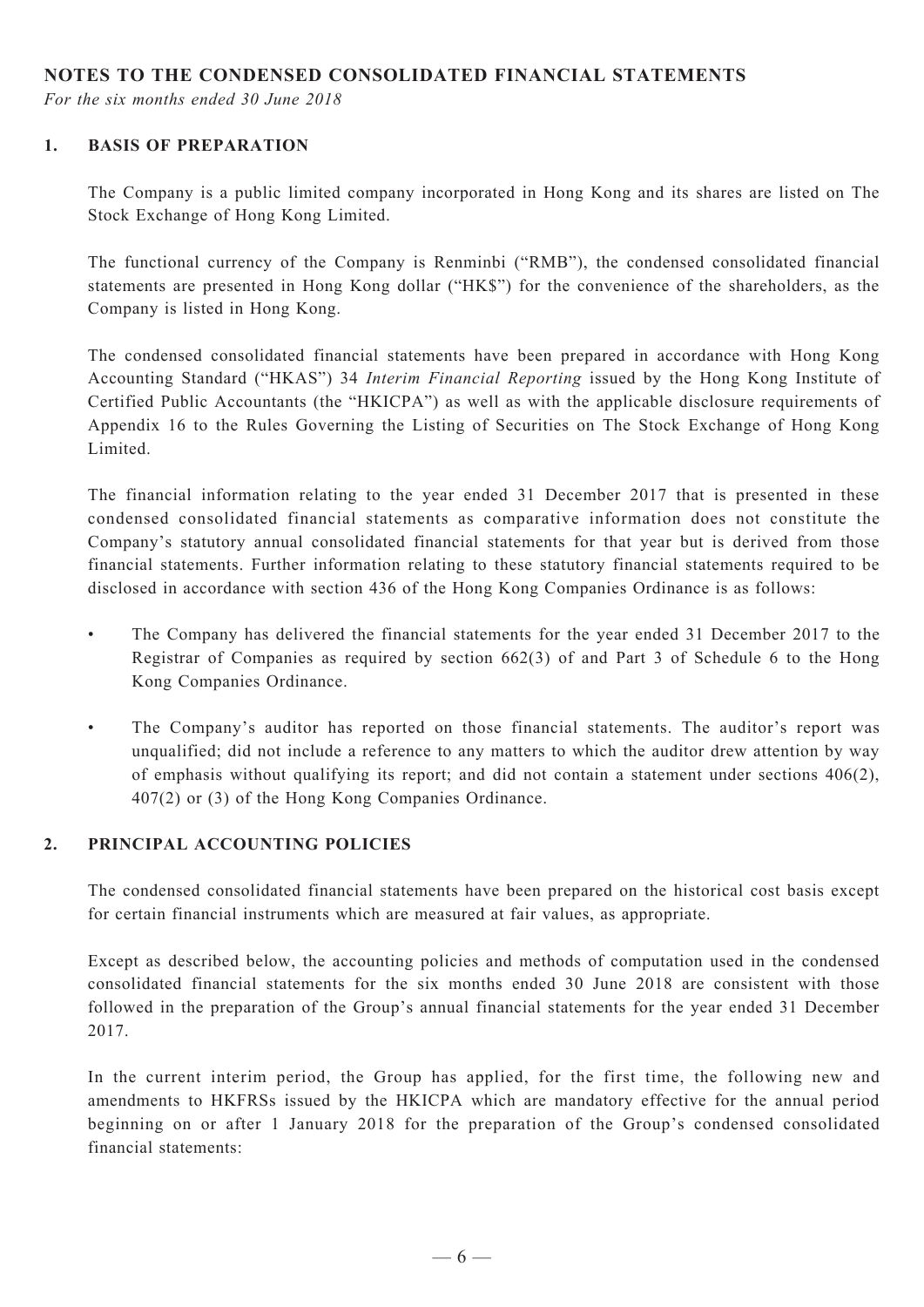#### **NOTES TO THE CONDENSED CONSOLIDATED FINANCIAL STATEMENTS**

*For the six months ended 30 June 2018*

#### **1. BASIS OF PREPARATION**

The Company is a public limited company incorporated in Hong Kong and its shares are listed on The Stock Exchange of Hong Kong Limited.

The functional currency of the Company is Renminbi ("RMB"), the condensed consolidated financial statements are presented in Hong Kong dollar ("HK\$") for the convenience of the shareholders, as the Company is listed in Hong Kong.

The condensed consolidated financial statements have been prepared in accordance with Hong Kong Accounting Standard ("HKAS") 34 *Interim Financial Reporting* issued by the Hong Kong Institute of Certified Public Accountants (the "HKICPA") as well as with the applicable disclosure requirements of Appendix 16 to the Rules Governing the Listing of Securities on The Stock Exchange of Hong Kong Limited.

The financial information relating to the year ended 31 December 2017 that is presented in these condensed consolidated financial statements as comparative information does not constitute the Company's statutory annual consolidated financial statements for that year but is derived from those financial statements. Further information relating to these statutory financial statements required to be disclosed in accordance with section 436 of the Hong Kong Companies Ordinance is as follows:

- The Company has delivered the financial statements for the year ended 31 December 2017 to the Registrar of Companies as required by section 662(3) of and Part 3 of Schedule 6 to the Hong Kong Companies Ordinance.
- • The Company's auditor has reported on those financial statements. The auditor's report was unqualified; did not include a reference to any matters to which the auditor drew attention by way of emphasis without qualifying its report; and did not contain a statement under sections 406(2), 407(2) or (3) of the Hong Kong Companies Ordinance.

#### **2. PRINCIPAL ACCOUNTING POLICIES**

The condensed consolidated financial statements have been prepared on the historical cost basis except for certain financial instruments which are measured at fair values, as appropriate.

Except as described below, the accounting policies and methods of computation used in the condensed consolidated financial statements for the six months ended 30 June 2018 are consistent with those followed in the preparation of the Group's annual financial statements for the year ended 31 December 2017.

In the current interim period, the Group has applied, for the first time, the following new and amendments to HKFRSs issued by the HKICPA which are mandatory effective for the annual period beginning on or after 1 January 2018 for the preparation of the Group's condensed consolidated financial statements: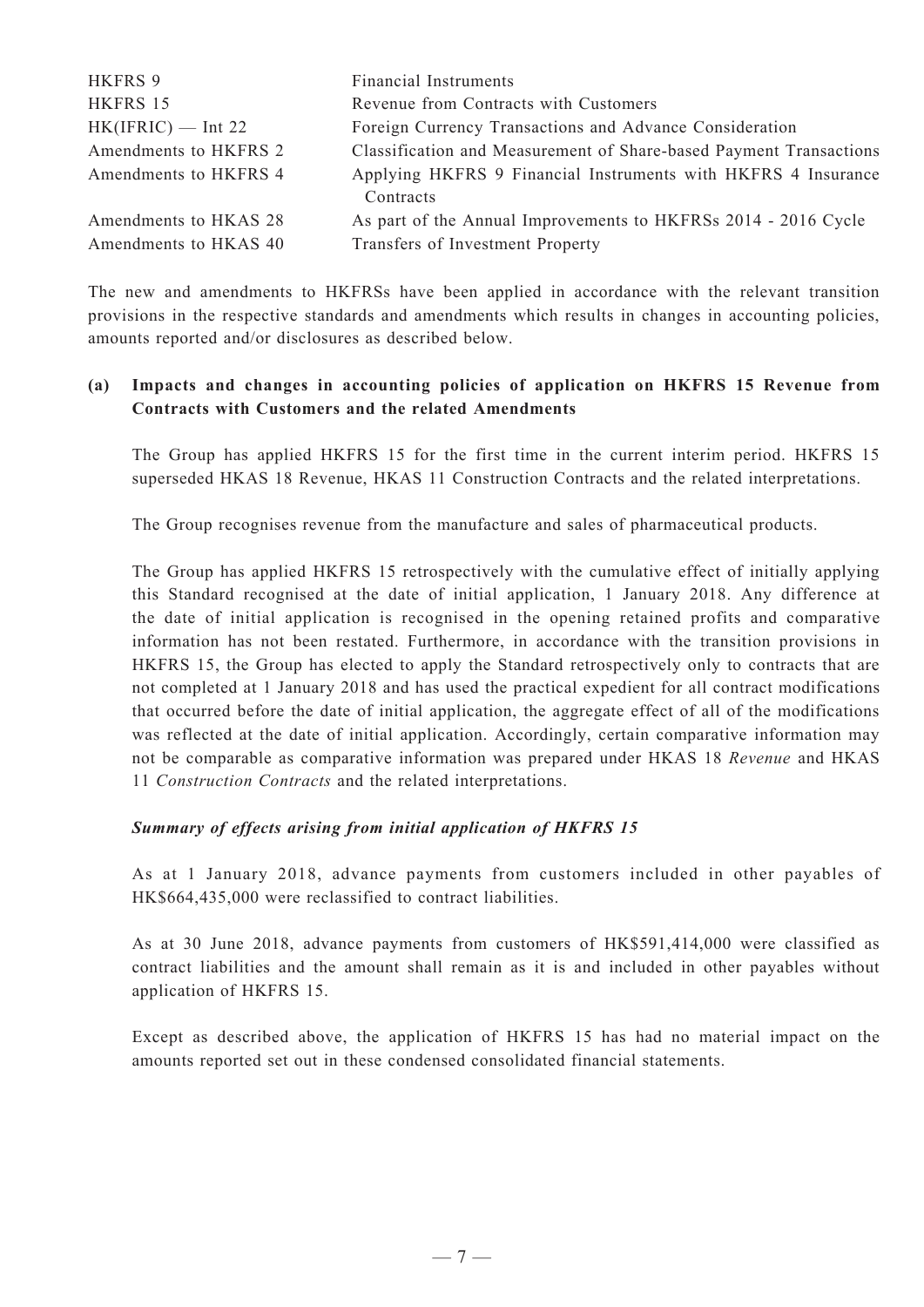| HKFRS 9               | <b>Financial Instruments</b>                                               |
|-----------------------|----------------------------------------------------------------------------|
| HKFRS 15              | Revenue from Contracts with Customers                                      |
| $HK(IFRIC)$ — Int 22  | Foreign Currency Transactions and Advance Consideration                    |
| Amendments to HKFRS 2 | Classification and Measurement of Share-based Payment Transactions         |
| Amendments to HKFRS 4 | Applying HKFRS 9 Financial Instruments with HKFRS 4 Insurance<br>Contracts |
| Amendments to HKAS 28 | As part of the Annual Improvements to HKFRSs 2014 - 2016 Cycle             |
| Amendments to HKAS 40 | Transfers of Investment Property                                           |

The new and amendments to HKFRSs have been applied in accordance with the relevant transition provisions in the respective standards and amendments which results in changes in accounting policies, amounts reported and/or disclosures as described below.

#### **(a) Impacts and changes in accounting policies of application on HKFRS 15 Revenue from Contracts with Customers and the related Amendments**

The Group has applied HKFRS 15 for the first time in the current interim period. HKFRS 15 superseded HKAS 18 Revenue, HKAS 11 Construction Contracts and the related interpretations.

The Group recognises revenue from the manufacture and sales of pharmaceutical products.

The Group has applied HKFRS 15 retrospectively with the cumulative effect of initially applying this Standard recognised at the date of initial application, 1 January 2018. Any difference at the date of initial application is recognised in the opening retained profits and comparative information has not been restated. Furthermore, in accordance with the transition provisions in HKFRS 15, the Group has elected to apply the Standard retrospectively only to contracts that are not completed at 1 January 2018 and has used the practical expedient for all contract modifications that occurred before the date of initial application, the aggregate effect of all of the modifications was reflected at the date of initial application. Accordingly, certain comparative information may not be comparable as comparative information was prepared under HKAS 18 *Revenue* and HKAS 11 *Construction Contracts* and the related interpretations.

#### *Summary of effects arising from initial application of HKFRS 15*

As at 1 January 2018, advance payments from customers included in other payables of HK\$664,435,000 were reclassified to contract liabilities.

As at 30 June 2018, advance payments from customers of HK\$591,414,000 were classified as contract liabilities and the amount shall remain as it is and included in other payables without application of HKFRS 15.

Except as described above, the application of HKFRS 15 has had no material impact on the amounts reported set out in these condensed consolidated financial statements.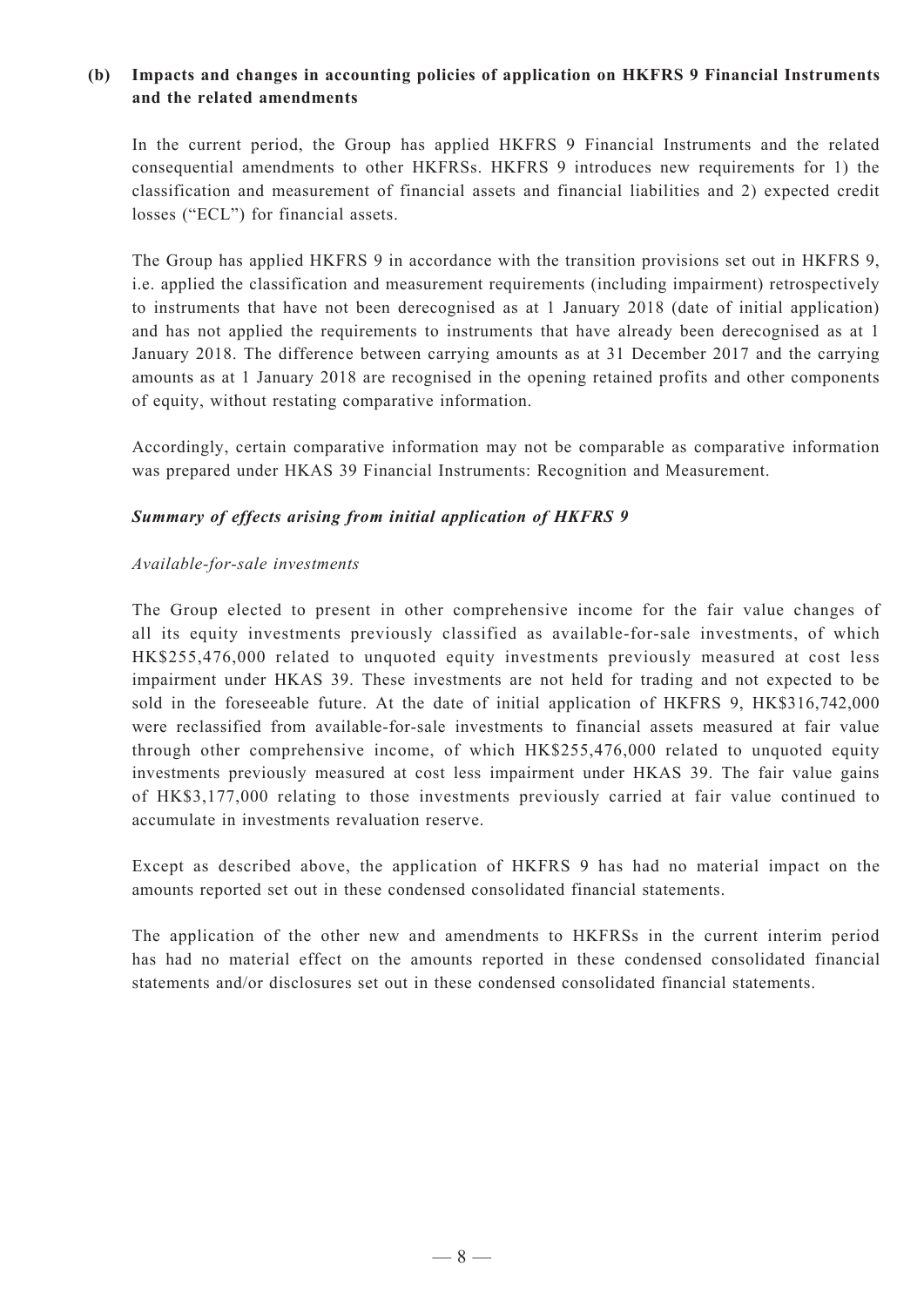#### **(b) Impacts and changes in accounting policies of application on HKFRS 9 Financial Instruments and the related amendments**

In the current period, the Group has applied HKFRS 9 Financial Instruments and the related consequential amendments to other HKFRSs. HKFRS 9 introduces new requirements for 1) the classification and measurement of financial assets and financial liabilities and 2) expected credit losses ("ECL") for financial assets.

The Group has applied HKFRS 9 in accordance with the transition provisions set out in HKFRS 9, i.e. applied the classification and measurement requirements (including impairment) retrospectively to instruments that have not been derecognised as at 1 January 2018 (date of initial application) and has not applied the requirements to instruments that have already been derecognised as at 1 January 2018. The difference between carrying amounts as at 31 December 2017 and the carrying amounts as at 1 January 2018 are recognised in the opening retained profits and other components of equity, without restating comparative information.

Accordingly, certain comparative information may not be comparable as comparative information was prepared under HKAS 39 Financial Instruments: Recognition and Measurement.

#### *Summary of effects arising from initial application of HKFRS 9*

#### *Available-for-sale investments*

The Group elected to present in other comprehensive income for the fair value changes of all its equity investments previously classified as available-for-sale investments, of which HK\$255,476,000 related to unquoted equity investments previously measured at cost less impairment under HKAS 39. These investments are not held for trading and not expected to be sold in the foreseeable future. At the date of initial application of HKFRS 9, HK\$316,742,000 were reclassified from available-for-sale investments to financial assets measured at fair value through other comprehensive income, of which HK\$255,476,000 related to unquoted equity investments previously measured at cost less impairment under HKAS 39. The fair value gains of HK\$3,177,000 relating to those investments previously carried at fair value continued to accumulate in investments revaluation reserve.

Except as described above, the application of HKFRS 9 has had no material impact on the amounts reported set out in these condensed consolidated financial statements.

The application of the other new and amendments to HKFRSs in the current interim period has had no material effect on the amounts reported in these condensed consolidated financial statements and/or disclosures set out in these condensed consolidated financial statements.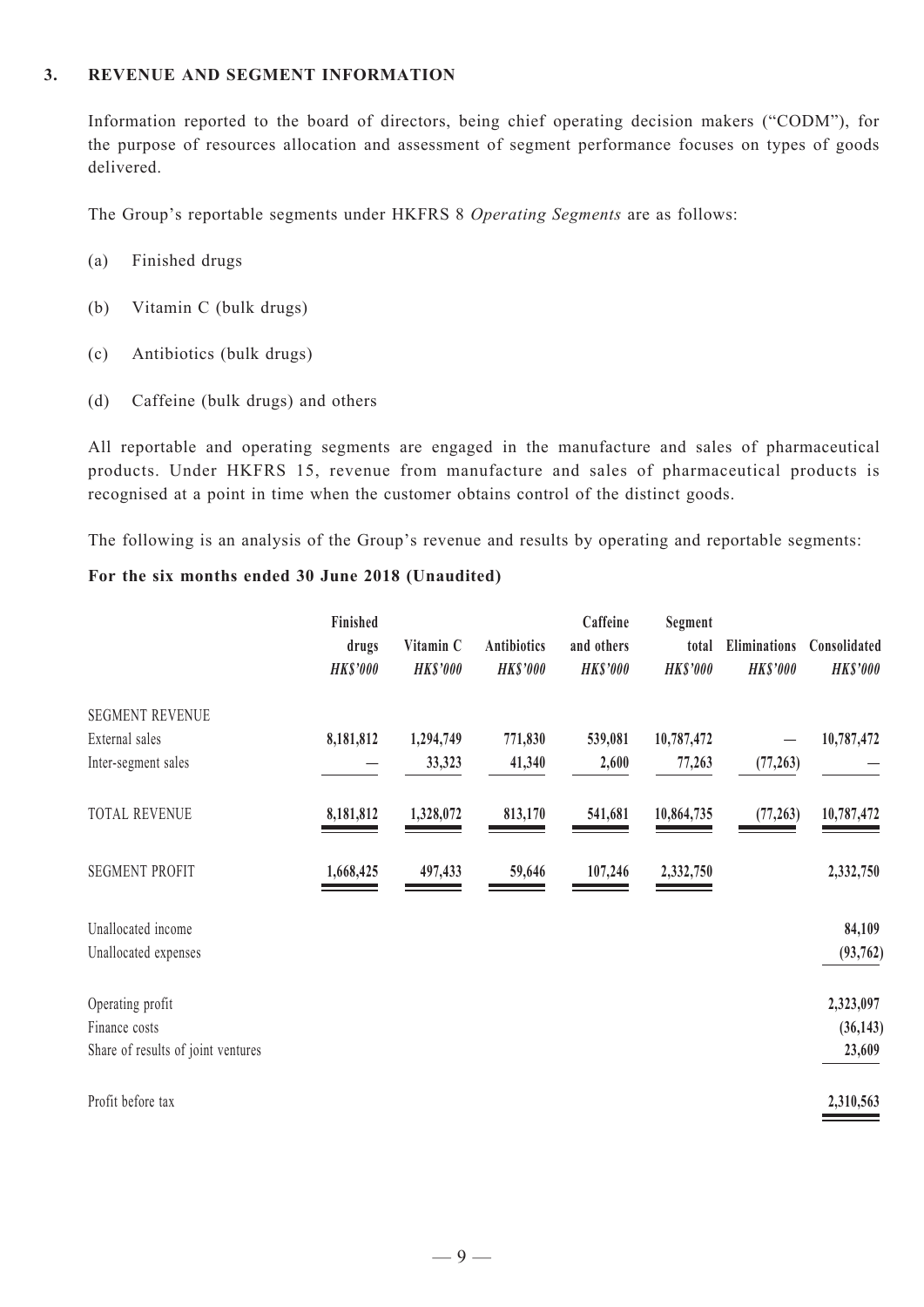#### **3. Revenue and SEGMENT INFORMATION**

Information reported to the board of directors, being chief operating decision makers ("CODM"), for the purpose of resources allocation and assessment of segment performance focuses on types of goods delivered.

The Group's reportable segments under HKFRS 8 *Operating Segments* are as follows:

- (a) Finished drugs
- (b) Vitamin C (bulk drugs)
- (c) Antibiotics (bulk drugs)
- (d) Caffeine (bulk drugs) and others

All reportable and operating segments are engaged in the manufacture and sales of pharmaceutical products. Under HKFRS 15, revenue from manufacture and sales of pharmaceutical products is recognised at a point in time when the customer obtains control of the distinct goods.

The following is an analysis of the Group's revenue and results by operating and reportable segments:

#### **For the six months ended 30 June 2018 (Unaudited)**

|                                    | Finished<br>drugs<br><b>HK\$'000</b> | Vitamin C<br><b>HK\$'000</b> | <b>Antibiotics</b><br><b>HK\$'000</b> | Caffeine<br>and others<br><b>HK\$'000</b> | Segment<br>total<br><b>HK\$'000</b> | Eliminations<br><b>HK\$'000</b> | Consolidated<br><b>HK\$'000</b> |
|------------------------------------|--------------------------------------|------------------------------|---------------------------------------|-------------------------------------------|-------------------------------------|---------------------------------|---------------------------------|
| <b>SEGMENT REVENUE</b>             |                                      |                              |                                       |                                           |                                     |                                 |                                 |
| External sales                     | 8,181,812                            | 1,294,749                    | 771,830                               | 539,081                                   | 10,787,472                          |                                 | 10,787,472                      |
| Inter-segment sales                |                                      | 33,323                       | 41,340                                | 2,600                                     | 77,263                              | (77, 263)                       |                                 |
| <b>TOTAL REVENUE</b>               | 8,181,812                            | 1,328,072                    | 813,170                               | 541,681                                   | 10,864,735                          | (77, 263)                       | 10,787,472                      |
| <b>SEGMENT PROFIT</b>              | 1,668,425                            | 497,433                      | 59,646                                | 107,246                                   | 2,332,750                           |                                 | 2,332,750                       |
| Unallocated income                 |                                      |                              |                                       |                                           |                                     |                                 | 84,109                          |
| Unallocated expenses               |                                      |                              |                                       |                                           |                                     |                                 | (93, 762)                       |
| Operating profit                   |                                      |                              |                                       |                                           |                                     |                                 | 2,323,097                       |
| Finance costs                      |                                      |                              |                                       |                                           |                                     |                                 | (36, 143)                       |
| Share of results of joint ventures |                                      |                              |                                       |                                           |                                     |                                 | 23,609                          |
| Profit before tax                  |                                      |                              |                                       |                                           |                                     |                                 | 2,310,563                       |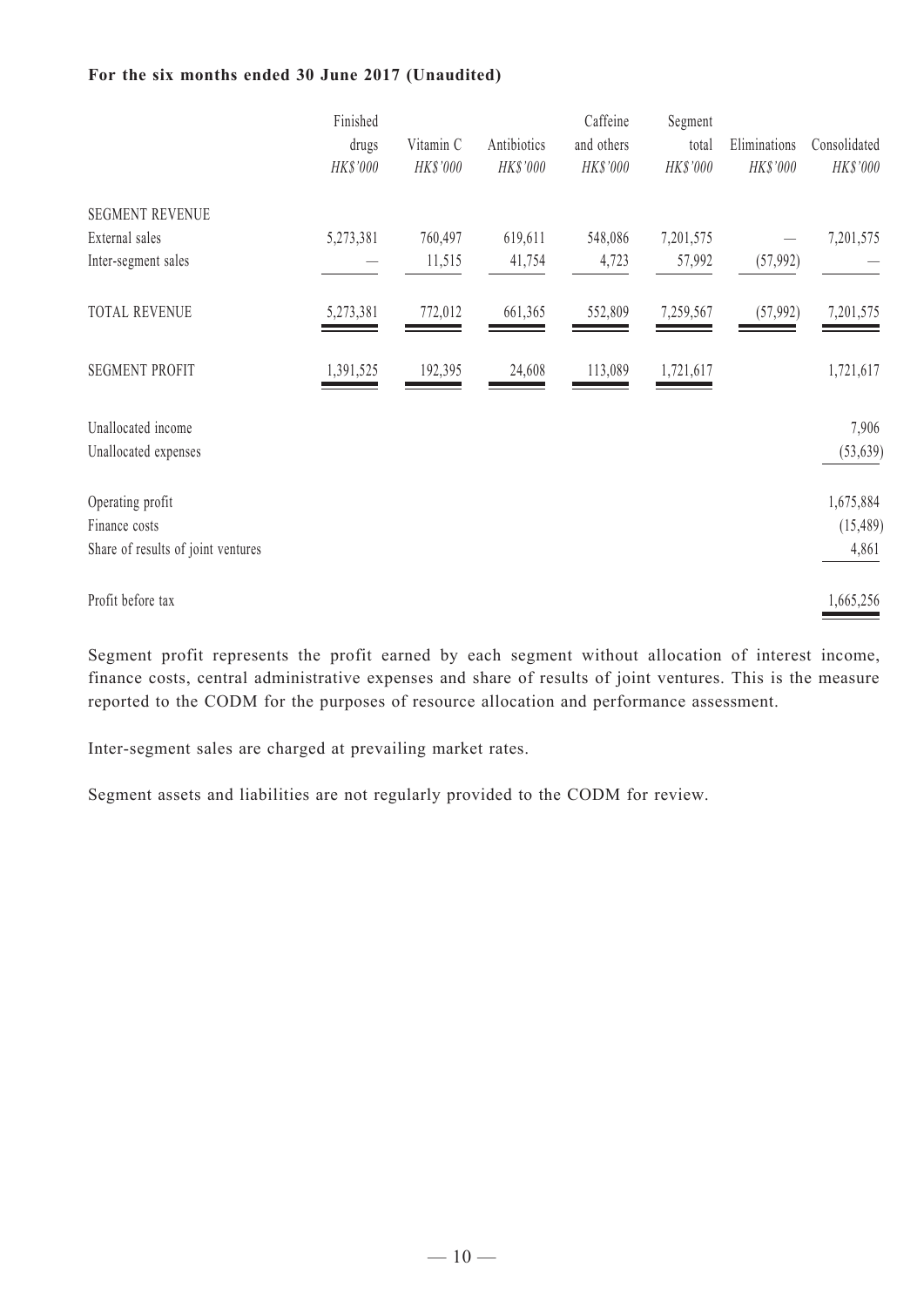#### **For the six months ended 30 June 2017 (Unaudited)**

| Finished  |                   |                       | Caffeine                | Segment                |                   |                          |
|-----------|-------------------|-----------------------|-------------------------|------------------------|-------------------|--------------------------|
|           |                   |                       |                         |                        |                   | Consolidated             |
|           |                   |                       |                         |                        |                   | HK\$'000                 |
|           |                   |                       |                         |                        |                   |                          |
| 5,273,381 | 760,497           | 619,611               | 548,086                 | 7,201,575              |                   | 7,201,575                |
|           | 11,515            | 41,754                | 4,723                   | 57,992                 | (57, 992)         |                          |
| 5,273,381 | 772,012           | 661,365               | 552,809                 | 7,259,567              | (57, 992)         | 7,201,575                |
| 1,391,525 | 192,395           | 24,608                | 113,089                 | 1,721,617              |                   | 1,721,617                |
|           |                   |                       |                         |                        |                   | 7,906<br>(53, 639)       |
|           |                   |                       |                         |                        |                   |                          |
|           |                   |                       |                         |                        |                   | 1,675,884                |
|           |                   |                       |                         |                        |                   | (15, 489)                |
|           |                   |                       |                         |                        |                   | 4,861                    |
|           |                   |                       |                         |                        |                   | 1,665,256                |
|           | drugs<br>HK\$'000 | Vitamin C<br>HK\$'000 | Antibiotics<br>HK\$'000 | and others<br>HK\$'000 | total<br>HK\$'000 | Eliminations<br>HK\$'000 |

Segment profit represents the profit earned by each segment without allocation of interest income, finance costs, central administrative expenses and share of results of joint ventures. This is the measure reported to the CODM for the purposes of resource allocation and performance assessment.

Inter-segment sales are charged at prevailing market rates.

Segment assets and liabilities are not regularly provided to the CODM for review.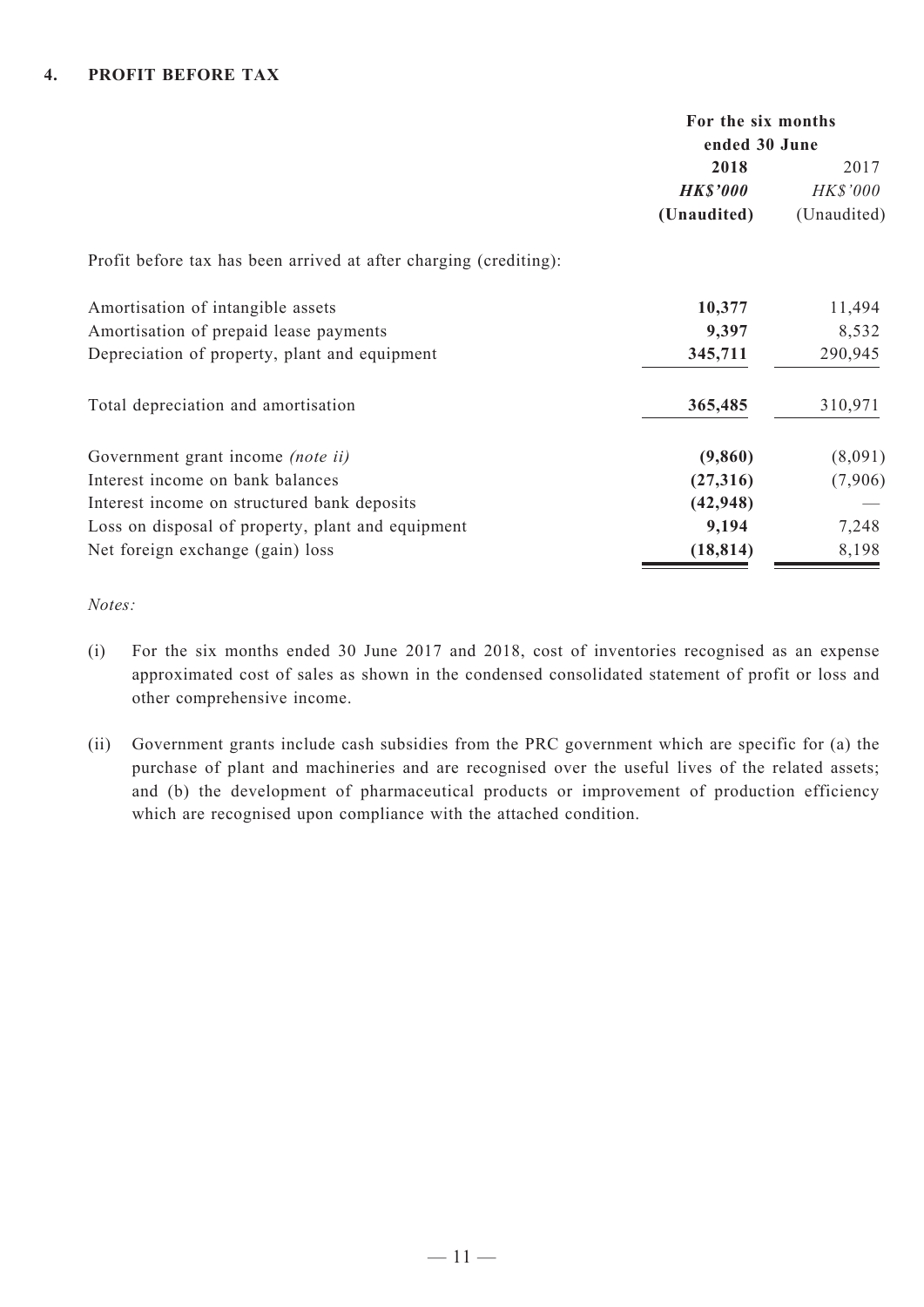|                                                                   | For the six months<br>ended 30 June |                 |  |
|-------------------------------------------------------------------|-------------------------------------|-----------------|--|
|                                                                   | 2018                                | 2017            |  |
|                                                                   | <b>HK\$'000</b>                     | <b>HK\$'000</b> |  |
|                                                                   | (Unaudited)                         | (Unaudited)     |  |
| Profit before tax has been arrived at after charging (crediting): |                                     |                 |  |
| Amortisation of intangible assets                                 | 10,377                              | 11,494          |  |
| Amortisation of prepaid lease payments                            | 9,397                               | 8,532           |  |
| Depreciation of property, plant and equipment                     | 345,711                             | 290,945         |  |
| Total depreciation and amortisation                               | 365,485                             | 310,971         |  |
| Government grant income <i>(note ii)</i>                          | (9,860)                             | (8,091)         |  |
| Interest income on bank balances                                  | (27,316)                            | (7,906)         |  |
| Interest income on structured bank deposits                       | (42, 948)                           |                 |  |
| Loss on disposal of property, plant and equipment                 | 9,194                               | 7,248           |  |
| Net foreign exchange (gain) loss                                  | (18, 814)                           | 8,198           |  |

*Notes:*

- (i) For the six months ended 30 June 2017 and 2018, cost of inventories recognised as an expense approximated cost of sales as shown in the condensed consolidated statement of profit or loss and other comprehensive income.
- (ii) Government grants include cash subsidies from the PRC government which are specific for (a) the purchase of plant and machineries and are recognised over the useful lives of the related assets; and (b) the development of pharmaceutical products or improvement of production efficiency which are recognised upon compliance with the attached condition.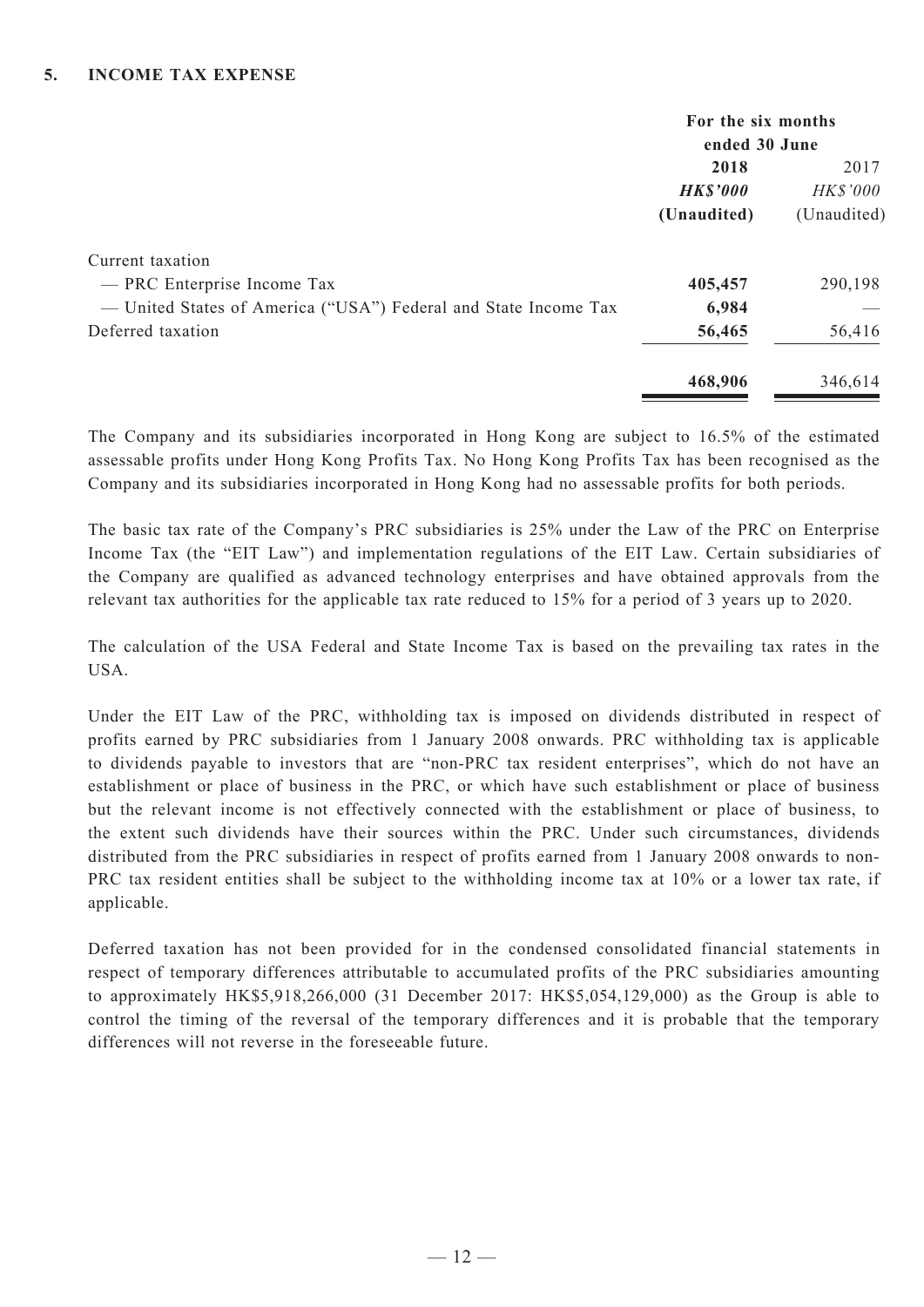|                                                                 | For the six months |             |  |
|-----------------------------------------------------------------|--------------------|-------------|--|
|                                                                 | ended 30 June      |             |  |
|                                                                 | 2018               | 2017        |  |
|                                                                 | <b>HK\$'000</b>    | HK\$'000    |  |
|                                                                 | (Unaudited)        | (Unaudited) |  |
| Current taxation                                                |                    |             |  |
| - PRC Enterprise Income Tax                                     | 405,457            | 290,198     |  |
| — United States of America ("USA") Federal and State Income Tax | 6,984              |             |  |
| Deferred taxation                                               | 56,465             | 56,416      |  |
|                                                                 | 468,906            | 346,614     |  |

The Company and its subsidiaries incorporated in Hong Kong are subject to 16.5% of the estimated assessable profits under Hong Kong Profits Tax. No Hong Kong Profits Tax has been recognised as the Company and its subsidiaries incorporated in Hong Kong had no assessable profits for both periods.

The basic tax rate of the Company's PRC subsidiaries is 25% under the Law of the PRC on Enterprise Income Tax (the "EIT Law") and implementation regulations of the EIT Law. Certain subsidiaries of the Company are qualified as advanced technology enterprises and have obtained approvals from the relevant tax authorities for the applicable tax rate reduced to 15% for a period of 3 years up to 2020.

The calculation of the USA Federal and State Income Tax is based on the prevailing tax rates in the USA.

Under the EIT Law of the PRC, withholding tax is imposed on dividends distributed in respect of profits earned by PRC subsidiaries from 1 January 2008 onwards. PRC withholding tax is applicable to dividends payable to investors that are "non-PRC tax resident enterprises", which do not have an establishment or place of business in the PRC, or which have such establishment or place of business but the relevant income is not effectively connected with the establishment or place of business, to the extent such dividends have their sources within the PRC. Under such circumstances, dividends distributed from the PRC subsidiaries in respect of profits earned from 1 January 2008 onwards to non-PRC tax resident entities shall be subject to the withholding income tax at 10% or a lower tax rate, if applicable.

Deferred taxation has not been provided for in the condensed consolidated financial statements in respect of temporary differences attributable to accumulated profits of the PRC subsidiaries amounting to approximately HK\$5,918,266,000 (31 December 2017: HK\$5,054,129,000) as the Group is able to control the timing of the reversal of the temporary differences and it is probable that the temporary differences will not reverse in the foreseeable future.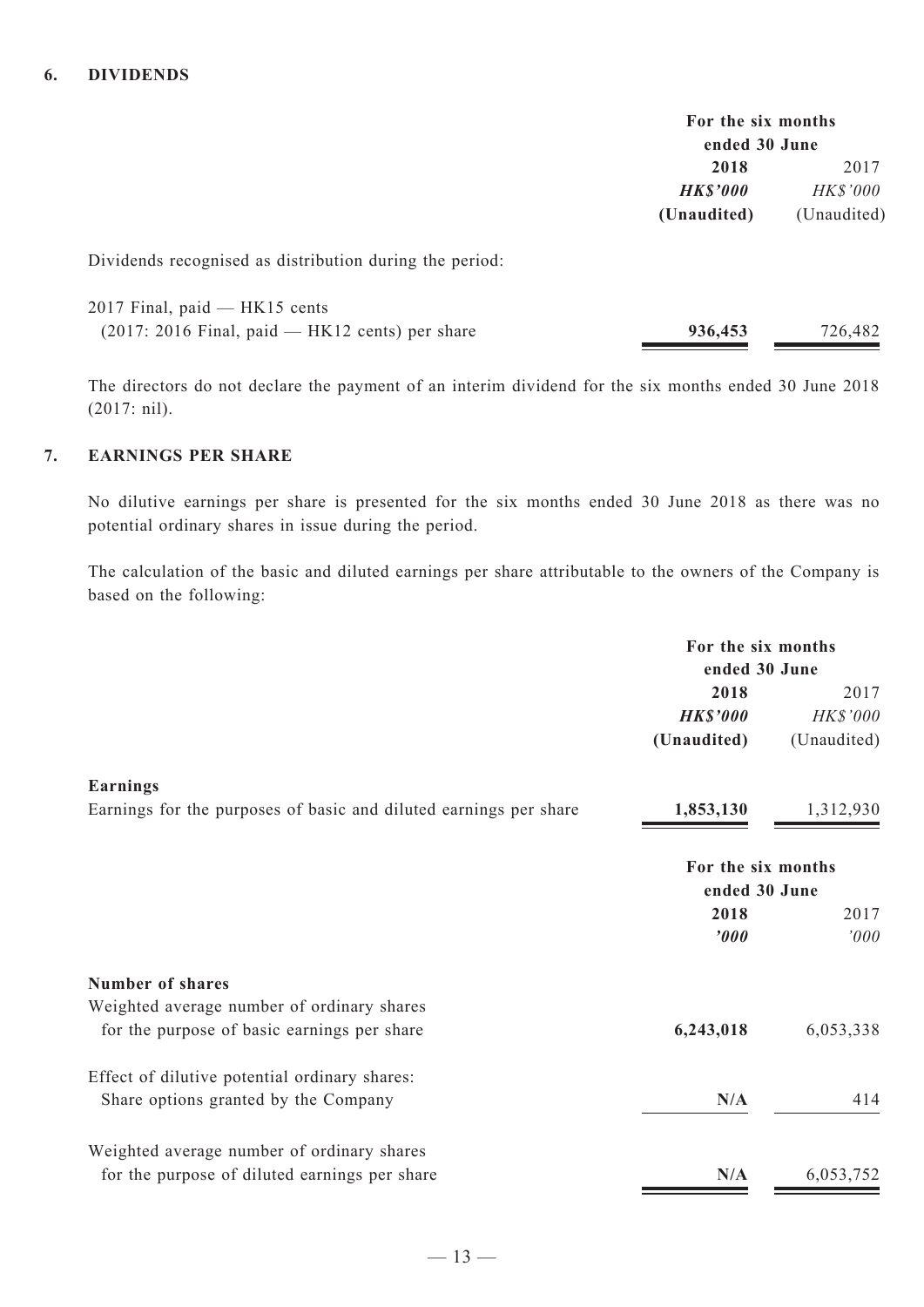| For the six months<br>ended 30 June |                 |
|-------------------------------------|-----------------|
| 2017<br>2018                        |                 |
| HK\$'000                            | <b>HK\$'000</b> |
| (Unaudited)                         | (Unaudited)     |

Dividends recognised as distribution during the period:

| 2017 Final, paid — HK15 cents                     |         |         |
|---------------------------------------------------|---------|---------|
| $(2017: 2016$ Final, paid — HK12 cents) per share | 936,453 | 726,482 |

The directors do not declare the payment of an interim dividend for the six months ended 30 June 2018 (2017: nil).

#### **7. EARNINGS PER SHARE**

No dilutive earnings per share is presented for the six months ended 30 June 2018 as there was no potential ordinary shares in issue during the period.

The calculation of the basic and diluted earnings per share attributable to the owners of the Company is based on the following:

|                                                                   | For the six months<br>ended 30 June |             |
|-------------------------------------------------------------------|-------------------------------------|-------------|
|                                                                   | 2018                                | 2017        |
|                                                                   | <b>HK\$'000</b>                     | HK\$'000    |
|                                                                   | (Unaudited)                         | (Unaudited) |
| <b>Earnings</b>                                                   |                                     |             |
| Earnings for the purposes of basic and diluted earnings per share | 1,853,130                           | 1,312,930   |
|                                                                   |                                     |             |
|                                                                   | For the six months                  |             |
|                                                                   | ended 30 June                       |             |
|                                                                   | 2018                                | 2017        |
|                                                                   | '000                                | '000        |
| <b>Number of shares</b>                                           |                                     |             |
| Weighted average number of ordinary shares                        |                                     |             |
| for the purpose of basic earnings per share                       | 6,243,018                           | 6,053,338   |
| Effect of dilutive potential ordinary shares:                     |                                     |             |
| Share options granted by the Company                              | N/A                                 | 414         |
|                                                                   |                                     |             |
| Weighted average number of ordinary shares                        |                                     |             |
| for the purpose of diluted earnings per share                     | N/A                                 | 6,053,752   |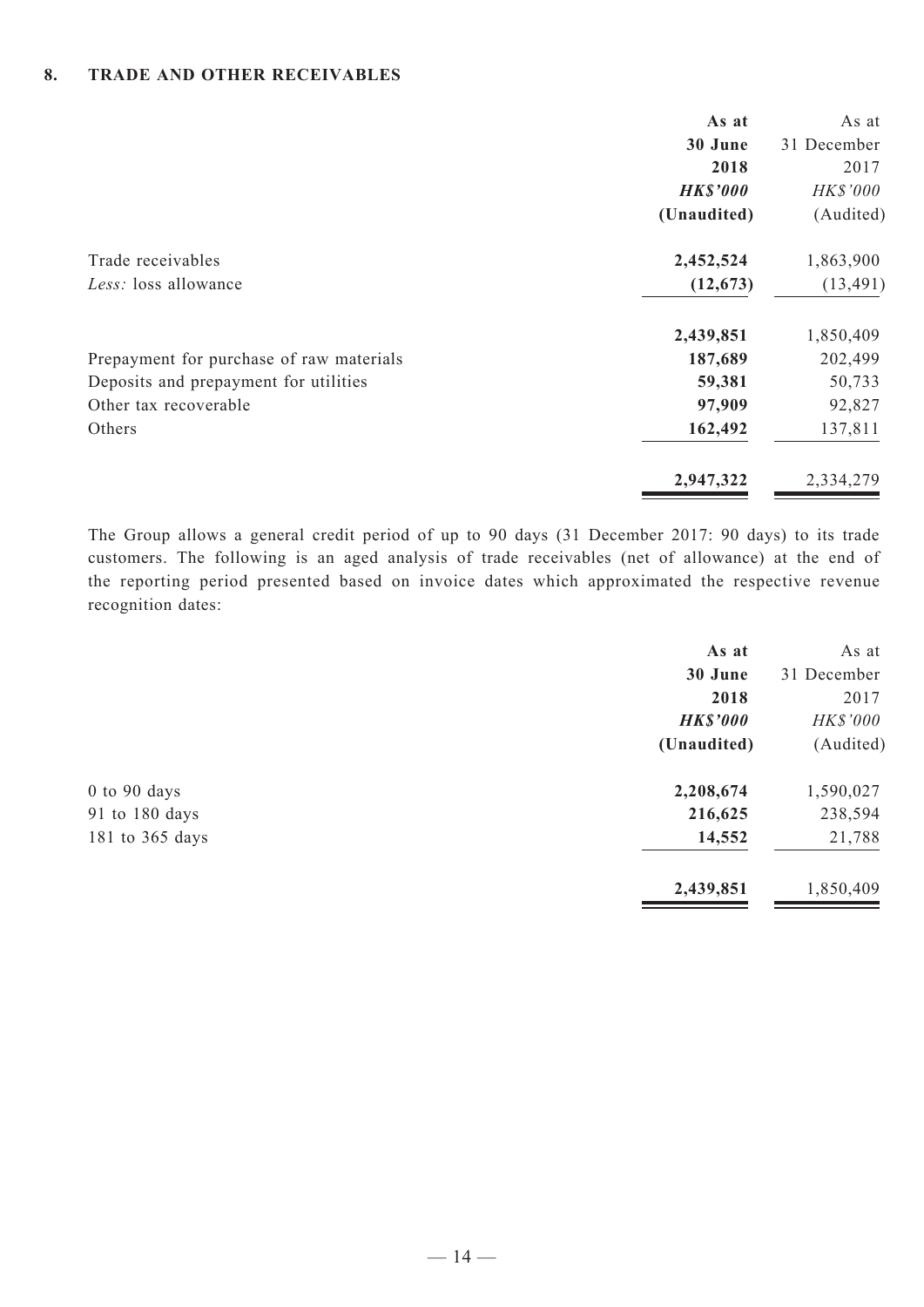#### **8. TRADE AND OTHER RECEIVABLES**

|                                           | As at<br>30 June<br>2018<br><b>HK\$'000</b> | As at<br>31 December<br>2017<br>HK\$'000 |
|-------------------------------------------|---------------------------------------------|------------------------------------------|
|                                           | (Unaudited)                                 | (Audited)                                |
| Trade receivables<br>Less: loss allowance | 2,452,524<br>(12, 673)                      | 1,863,900<br>(13, 491)                   |
|                                           | 2,439,851                                   | 1,850,409                                |
| Prepayment for purchase of raw materials  | 187,689                                     | 202,499                                  |
| Deposits and prepayment for utilities     | 59,381                                      | 50,733                                   |
| Other tax recoverable                     | 97,909                                      | 92,827                                   |
| Others                                    | 162,492                                     | 137,811                                  |
|                                           | 2,947,322                                   | 2,334,279                                |

The Group allows a general credit period of up to 90 days (31 December 2017: 90 days) to its trade customers. The following is an aged analysis of trade receivables (net of allowance) at the end of the reporting period presented based on invoice dates which approximated the respective revenue recognition dates:

|                  | As at           | As at       |
|------------------|-----------------|-------------|
|                  | 30 June         | 31 December |
|                  | 2018            | 2017        |
|                  | <b>HK\$'000</b> | HK\$'000    |
|                  | (Unaudited)     | (Audited)   |
| $0$ to $90$ days | 2,208,674       | 1,590,027   |
| 91 to 180 days   | 216,625         | 238,594     |
| 181 to 365 days  | 14,552          | 21,788      |
|                  | 2,439,851       | 1,850,409   |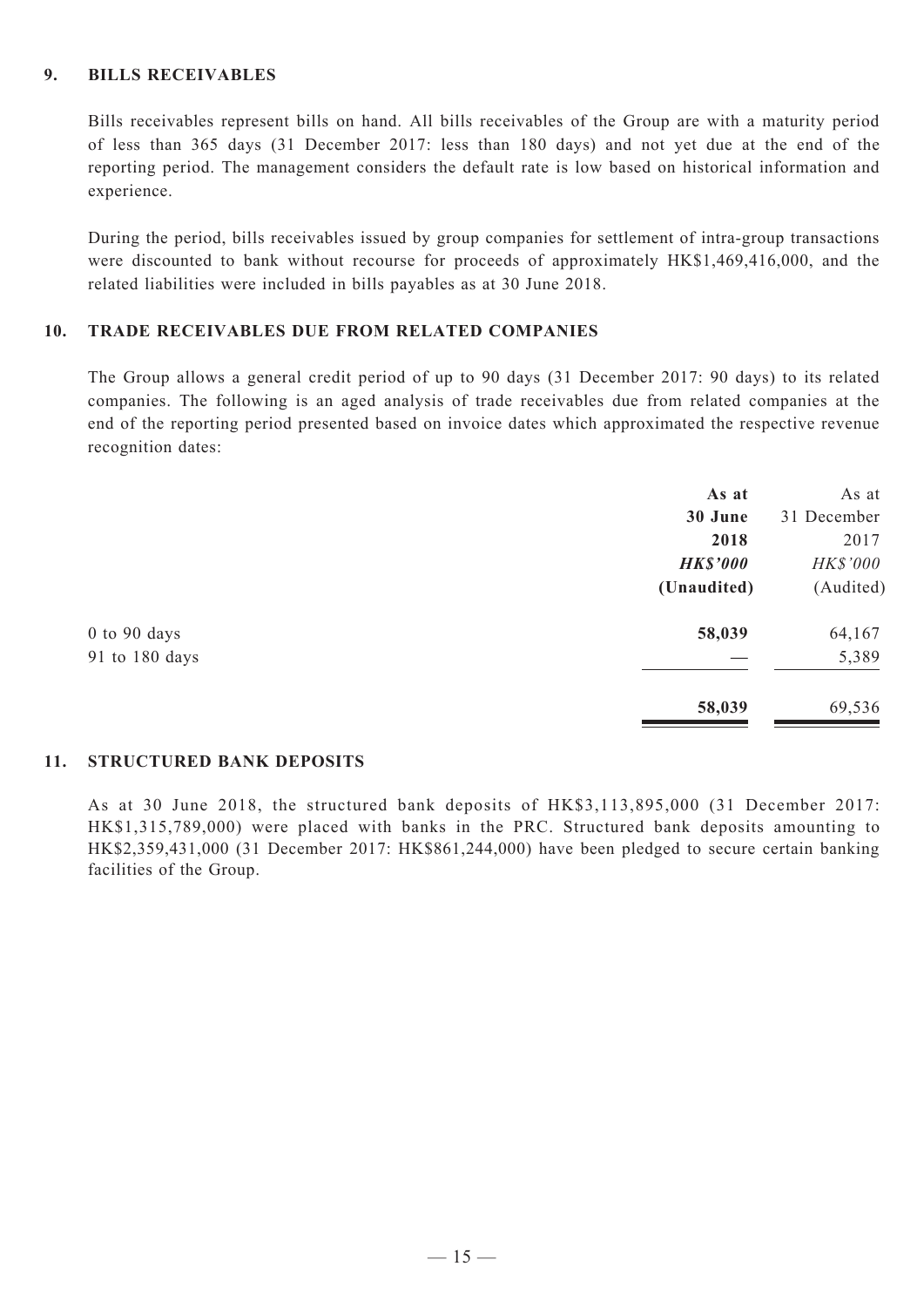#### **9. BILLS RECEIVABLES**

Bills receivables represent bills on hand. All bills receivables of the Group are with a maturity period of less than 365 days (31 December 2017: less than 180 days) and not yet due at the end of the reporting period. The management considers the default rate is low based on historical information and experience.

During the period, bills receivables issued by group companies for settlement of intra-group transactions were discounted to bank without recourse for proceeds of approximately HK\$1,469,416,000, and the related liabilities were included in bills payables as at 30 June 2018.

#### **10. TRADE RECEIVABLES DUE FROM RELATED COMPANIES**

The Group allows a general credit period of up to 90 days (31 December 2017: 90 days) to its related companies. The following is an aged analysis of trade receivables due from related companies at the end of the reporting period presented based on invoice dates which approximated the respective revenue recognition dates:

|                  | As at           | As at           |
|------------------|-----------------|-----------------|
|                  | 30 June         | 31 December     |
|                  | 2018            | 2017            |
|                  | <b>HK\$'000</b> | <b>HK\$'000</b> |
|                  | (Unaudited)     | (Audited)       |
| $0$ to $90$ days | 58,039          | 64,167          |
| 91 to 180 days   |                 | 5,389           |
|                  | 58,039          | 69,536          |

#### **11. STRUCTURED Bank DEPOSITS**

As at 30 June 2018, the structured bank deposits of HK\$3,113,895,000 (31 December 2017: HK\$1,315,789,000) were placed with banks in the PRC. Structured bank deposits amounting to HK\$2,359,431,000 (31 December 2017: HK\$861,244,000) have been pledged to secure certain banking facilities of the Group.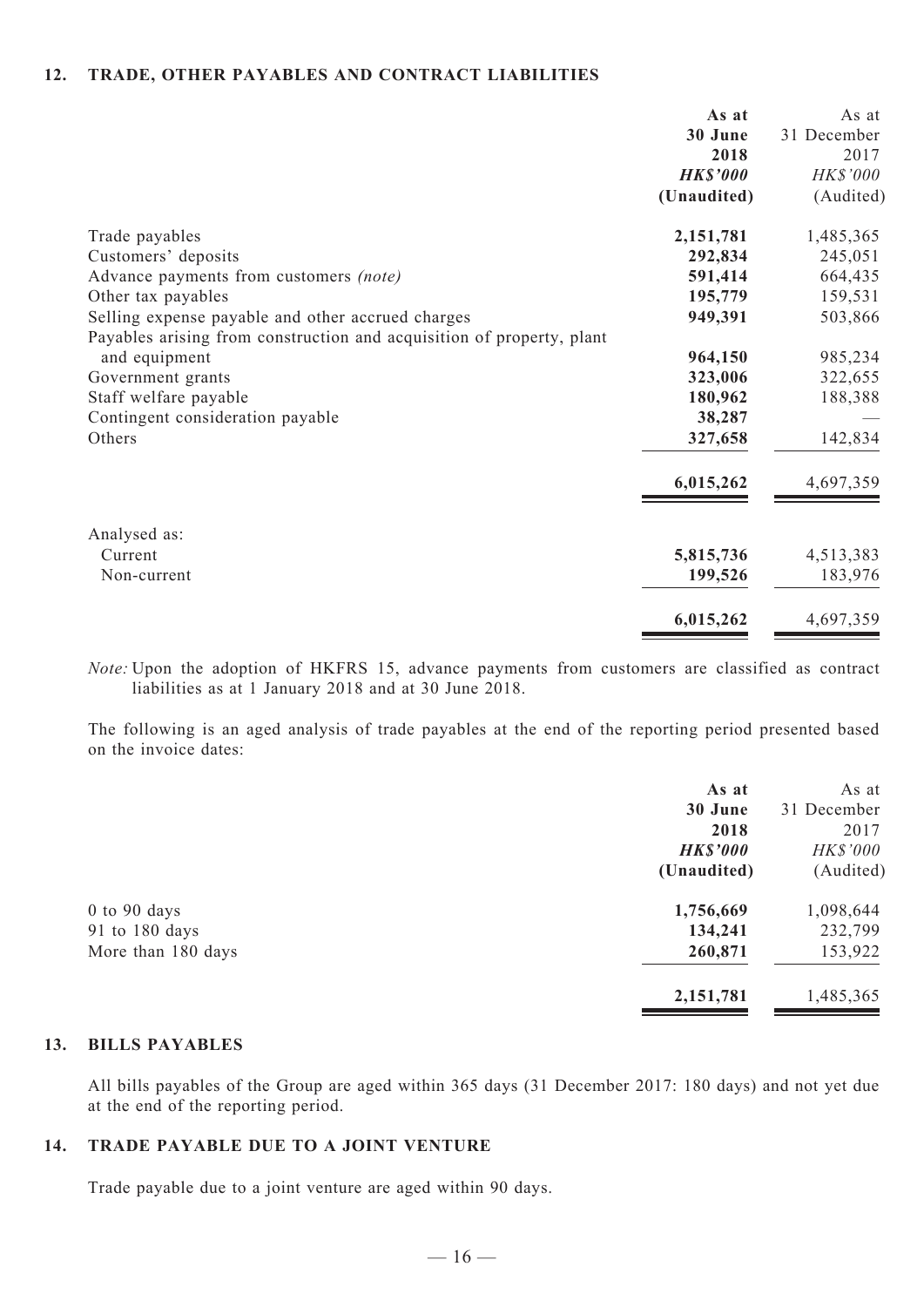#### **12. TRADE, OTHER PAYABLES AND CONTRACT LIABILITIES**

|                                                                       | As at           | As at       |
|-----------------------------------------------------------------------|-----------------|-------------|
|                                                                       | 30 June         | 31 December |
|                                                                       | 2018            | 2017        |
|                                                                       | <b>HK\$'000</b> | HK\$'000    |
|                                                                       | (Unaudited)     | (Audited)   |
| Trade payables                                                        | 2,151,781       | 1,485,365   |
| Customers' deposits                                                   | 292,834         | 245,051     |
| Advance payments from customers (note)                                | 591,414         | 664,435     |
| Other tax payables                                                    | 195,779         | 159,531     |
| Selling expense payable and other accrued charges                     | 949,391         | 503,866     |
| Payables arising from construction and acquisition of property, plant |                 |             |
| and equipment                                                         | 964,150         | 985,234     |
| Government grants                                                     | 323,006         | 322,655     |
| Staff welfare payable                                                 | 180,962         | 188,388     |
| Contingent consideration payable                                      | 38,287          |             |
| Others                                                                | 327,658         | 142,834     |
|                                                                       | 6,015,262       | 4,697,359   |
| Analysed as:                                                          |                 |             |
| Current                                                               | 5,815,736       | 4,513,383   |
| Non-current                                                           | 199,526         | 183,976     |
|                                                                       | 6,015,262       | 4,697,359   |

*Note:* Upon the adoption of HKFRS 15, advance payments from customers are classified as contract liabilities as at 1 January 2018 and at 30 June 2018.

The following is an aged analysis of trade payables at the end of the reporting period presented based on the invoice dates:

| As at           | As at           |
|-----------------|-----------------|
| 30 June         | 31 December     |
| 2018            | 2017            |
| <b>HK\$'000</b> | <b>HK\$'000</b> |
| (Unaudited)     | (Audited)       |
| 1,756,669       | 1,098,644       |
| 134,241         | 232,799         |
| 260,871         | 153,922         |
| 2,151,781       | 1,485,365       |
|                 |                 |

#### **13. BILLS PAYABLES**

All bills payables of the Group are aged within 365 days (31 December 2017: 180 days) and not yet due at the end of the reporting period.

#### **14. TRADE PAYABLE DUE TO A JOINT VENTURE**

Trade payable due to a joint venture are aged within 90 days.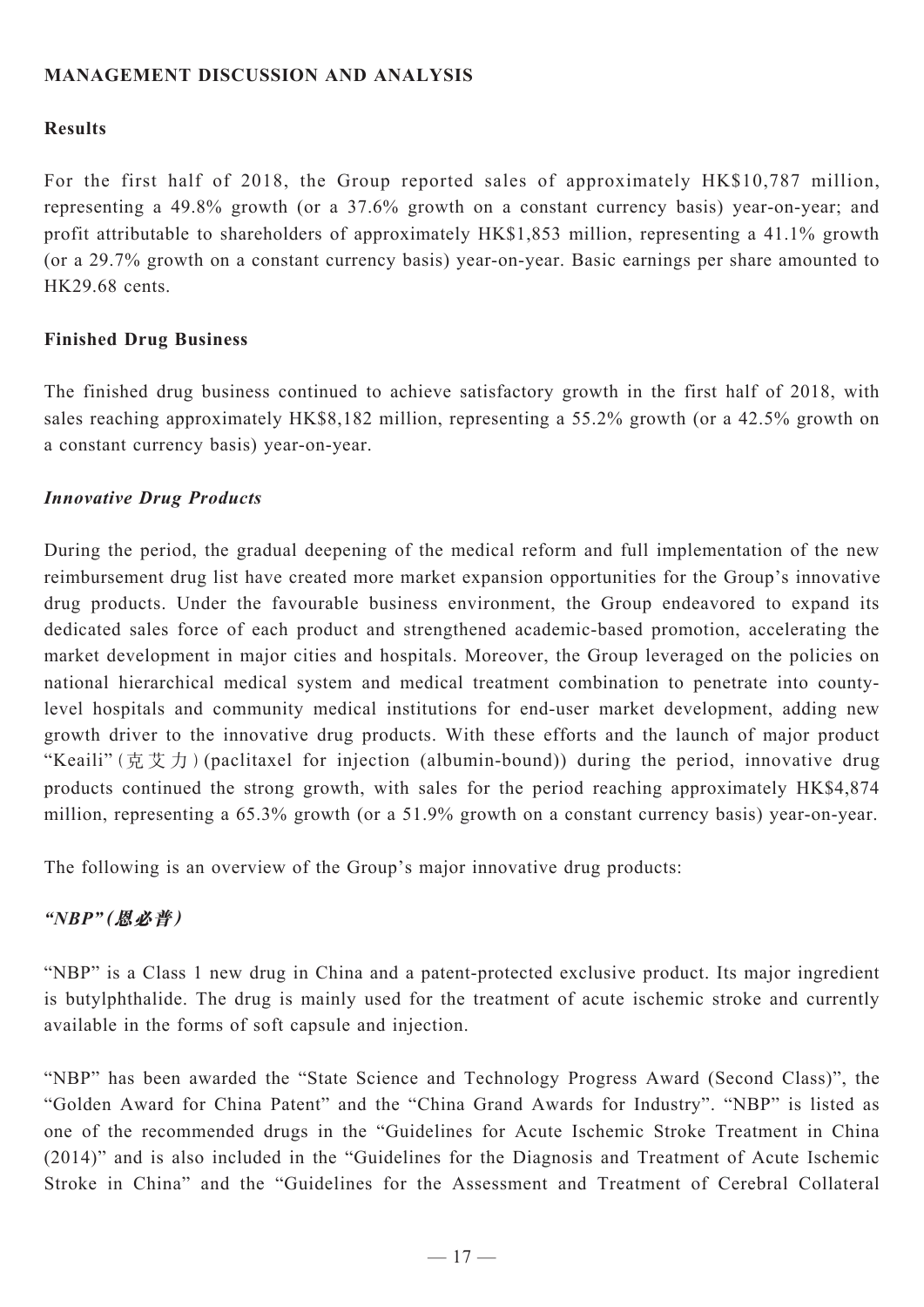### **MANAGEMENT DISCUSSION AND ANALYSIS**

#### **Results**

For the first half of 2018, the Group reported sales of approximately HK\$10,787 million, representing a 49.8% growth (or a 37.6% growth on a constant currency basis) year-on-year; and profit attributable to shareholders of approximately HK\$1,853 million, representing a 41.1% growth (or a 29.7% growth on a constant currency basis) year-on-year. Basic earnings per share amounted to HK29.68 cents.

#### **Finished Drug Business**

The finished drug business continued to achieve satisfactory growth in the first half of 2018, with sales reaching approximately HK\$8,182 million, representing a 55.2% growth (or a 42.5% growth on a constant currency basis) year-on-year.

#### *Innovative Drug Products*

During the period, the gradual deepening of the medical reform and full implementation of the new reimbursement drug list have created more market expansion opportunities for the Group's innovative drug products. Under the favourable business environment, the Group endeavored to expand its dedicated sales force of each product and strengthened academic-based promotion, accelerating the market development in major cities and hospitals. Moreover, the Group leveraged on the policies on national hierarchical medical system and medical treatment combination to penetrate into countylevel hospitals and community medical institutions for end-user market development, adding new growth driver to the innovative drug products. With these efforts and the launch of major product "Keaili"(克艾力)(paclitaxel for injection (albumin-bound)) during the period, innovative drug products continued the strong growth, with sales for the period reaching approximately HK\$4,874 million, representing a 65.3% growth (or a 51.9% growth on a constant currency basis) year-on-year.

The following is an overview of the Group's major innovative drug products:

#### *"NBP"***(恩必普)**

"NBP" is a Class 1 new drug in China and a patent-protected exclusive product. Its major ingredient is butylphthalide. The drug is mainly used for the treatment of acute ischemic stroke and currently available in the forms of soft capsule and injection.

"NBP" has been awarded the "State Science and Technology Progress Award (Second Class)", the "Golden Award for China Patent" and the "China Grand Awards for Industry". "NBP" is listed as one of the recommended drugs in the "Guidelines for Acute Ischemic Stroke Treatment in China (2014)" and is also included in the "Guidelines for the Diagnosis and Treatment of Acute Ischemic Stroke in China" and the "Guidelines for the Assessment and Treatment of Cerebral Collateral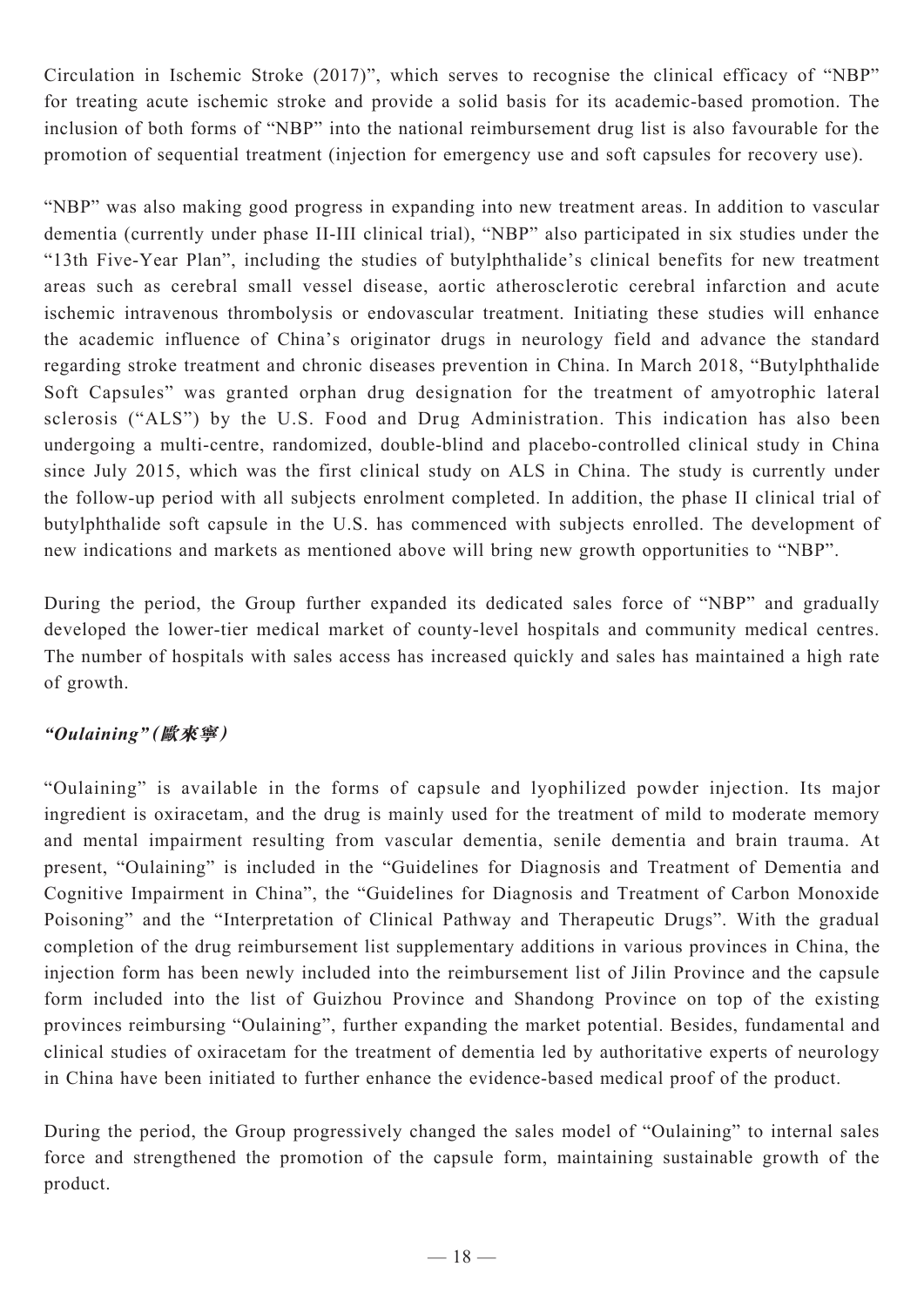Circulation in Ischemic Stroke (2017)", which serves to recognise the clinical efficacy of "NBP" for treating acute ischemic stroke and provide a solid basis for its academic-based promotion. The inclusion of both forms of "NBP" into the national reimbursement drug list is also favourable for the promotion of sequential treatment (injection for emergency use and soft capsules for recovery use).

"NBP" was also making good progress in expanding into new treatment areas. In addition to vascular dementia (currently under phase II-III clinical trial), "NBP" also participated in six studies under the "13th Five-Year Plan", including the studies of butylphthalide's clinical benefits for new treatment areas such as cerebral small vessel disease, aortic atherosclerotic cerebral infarction and acute ischemic intravenous thrombolysis or endovascular treatment. Initiating these studies will enhance the academic influence of China's originator drugs in neurology field and advance the standard regarding stroke treatment and chronic diseases prevention in China. In March 2018, "Butylphthalide Soft Capsules" was granted orphan drug designation for the treatment of amyotrophic lateral sclerosis ("ALS") by the U.S. Food and Drug Administration. This indication has also been undergoing a multi-centre, randomized, double-blind and placebo-controlled clinical study in China since July 2015, which was the first clinical study on ALS in China. The study is currently under the follow-up period with all subjects enrolment completed. In addition, the phase II clinical trial of butylphthalide soft capsule in the U.S. has commenced with subjects enrolled. The development of new indications and markets as mentioned above will bring new growth opportunities to "NBP".

During the period, the Group further expanded its dedicated sales force of "NBP" and gradually developed the lower-tier medical market of county-level hospitals and community medical centres. The number of hospitals with sales access has increased quickly and sales has maintained a high rate of growth.

## *"Oulaining"***(歐來寧)**

"Oulaining" is available in the forms of capsule and lyophilized powder injection. Its major ingredient is oxiracetam, and the drug is mainly used for the treatment of mild to moderate memory and mental impairment resulting from vascular dementia, senile dementia and brain trauma. At present, "Oulaining" is included in the "Guidelines for Diagnosis and Treatment of Dementia and Cognitive Impairment in China", the "Guidelines for Diagnosis and Treatment of Carbon Monoxide Poisoning" and the "Interpretation of Clinical Pathway and Therapeutic Drugs". With the gradual completion of the drug reimbursement list supplementary additions in various provinces in China, the injection form has been newly included into the reimbursement list of Jilin Province and the capsule form included into the list of Guizhou Province and Shandong Province on top of the existing provinces reimbursing "Oulaining", further expanding the market potential. Besides, fundamental and clinical studies of oxiracetam for the treatment of dementia led by authoritative experts of neurology in China have been initiated to further enhance the evidence-based medical proof of the product.

During the period, the Group progressively changed the sales model of "Oulaining" to internal sales force and strengthened the promotion of the capsule form, maintaining sustainable growth of the product.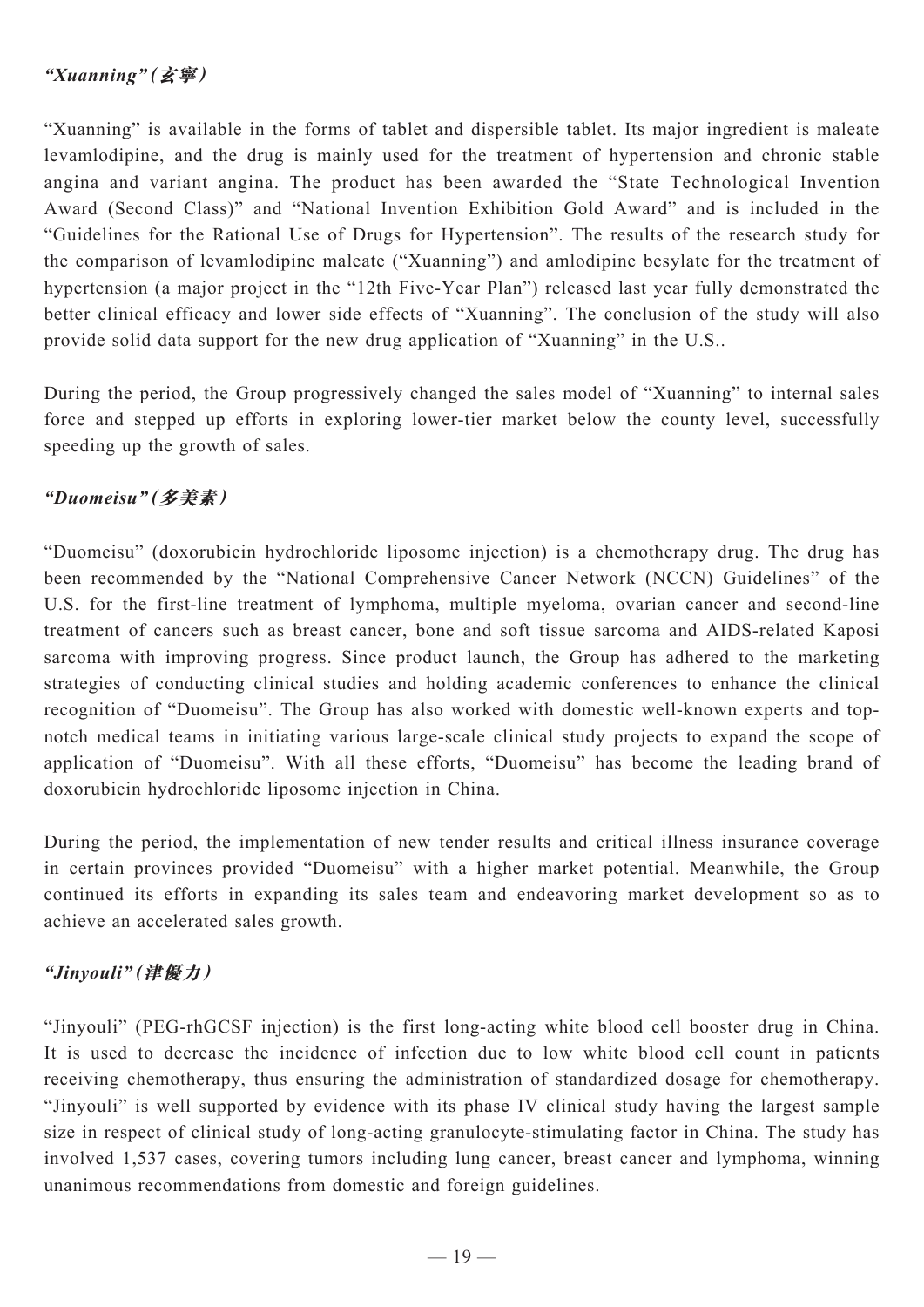## *"Xuanning"***(玄寧)**

"Xuanning" is available in the forms of tablet and dispersible tablet. Its major ingredient is maleate levamlodipine, and the drug is mainly used for the treatment of hypertension and chronic stable angina and variant angina. The product has been awarded the "State Technological Invention Award (Second Class)" and "National Invention Exhibition Gold Award" and is included in the "Guidelines for the Rational Use of Drugs for Hypertension". The results of the research study for the comparison of levamlodipine maleate ("Xuanning") and amlodipine besylate for the treatment of hypertension (a major project in the "12th Five-Year Plan") released last year fully demonstrated the better clinical efficacy and lower side effects of "Xuanning". The conclusion of the study will also provide solid data support for the new drug application of "Xuanning" in the U.S..

During the period, the Group progressively changed the sales model of "Xuanning" to internal sales force and stepped up efforts in exploring lower-tier market below the county level, successfully speeding up the growth of sales.

## *"Duomeisu"***(多美素)**

"Duomeisu" (doxorubicin hydrochloride liposome injection) is a chemotherapy drug. The drug has been recommended by the "National Comprehensive Cancer Network (NCCN) Guidelines" of the U.S. for the first-line treatment of lymphoma, multiple myeloma, ovarian cancer and second-line treatment of cancers such as breast cancer, bone and soft tissue sarcoma and AIDS-related Kaposi sarcoma with improving progress. Since product launch, the Group has adhered to the marketing strategies of conducting clinical studies and holding academic conferences to enhance the clinical recognition of "Duomeisu". The Group has also worked with domestic well-known experts and topnotch medical teams in initiating various large-scale clinical study projects to expand the scope of application of "Duomeisu". With all these efforts, "Duomeisu" has become the leading brand of doxorubicin hydrochloride liposome injection in China.

During the period, the implementation of new tender results and critical illness insurance coverage in certain provinces provided "Duomeisu" with a higher market potential. Meanwhile, the Group continued its efforts in expanding its sales team and endeavoring market development so as to achieve an accelerated sales growth.

## *"Jinyouli"***(津優力)**

"Jinyouli" (PEG-rhGCSF injection) is the first long-acting white blood cell booster drug in China. It is used to decrease the incidence of infection due to low white blood cell count in patients receiving chemotherapy, thus ensuring the administration of standardized dosage for chemotherapy. "Jinyouli" is well supported by evidence with its phase IV clinical study having the largest sample size in respect of clinical study of long-acting granulocyte-stimulating factor in China. The study has involved 1,537 cases, covering tumors including lung cancer, breast cancer and lymphoma, winning unanimous recommendations from domestic and foreign guidelines.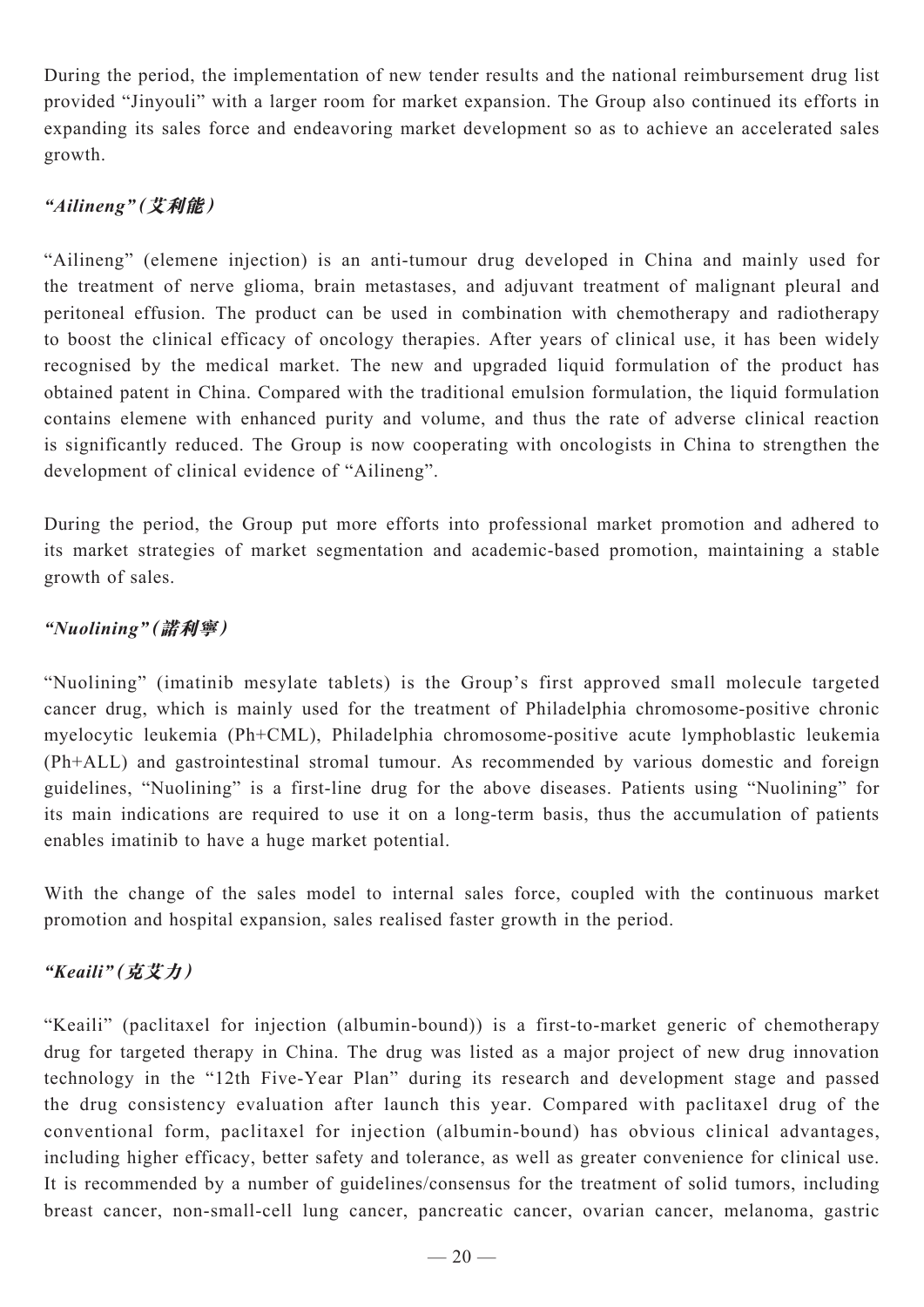During the period, the implementation of new tender results and the national reimbursement drug list provided "Jinyouli" with a larger room for market expansion. The Group also continued its efforts in expanding its sales force and endeavoring market development so as to achieve an accelerated sales growth.

## *"Ailineng"***(艾利能)**

"Ailineng" (elemene injection) is an anti-tumour drug developed in China and mainly used for the treatment of nerve glioma, brain metastases, and adjuvant treatment of malignant pleural and peritoneal effusion. The product can be used in combination with chemotherapy and radiotherapy to boost the clinical efficacy of oncology therapies. After years of clinical use, it has been widely recognised by the medical market. The new and upgraded liquid formulation of the product has obtained patent in China. Compared with the traditional emulsion formulation, the liquid formulation contains elemene with enhanced purity and volume, and thus the rate of adverse clinical reaction is significantly reduced. The Group is now cooperating with oncologists in China to strengthen the development of clinical evidence of "Ailineng".

During the period, the Group put more efforts into professional market promotion and adhered to its market strategies of market segmentation and academic-based promotion, maintaining a stable growth of sales.

## *"Nuolining"***(諾利寧)**

"Nuolining" (imatinib mesylate tablets) is the Group's first approved small molecule targeted cancer drug, which is mainly used for the treatment of Philadelphia chromosome-positive chronic myelocytic leukemia (Ph+CML), Philadelphia chromosome-positive acute lymphoblastic leukemia (Ph+ALL) and gastrointestinal stromal tumour. As recommended by various domestic and foreign guidelines, "Nuolining" is a first-line drug for the above diseases. Patients using "Nuolining" for its main indications are required to use it on a long-term basis, thus the accumulation of patients enables imatinib to have a huge market potential.

With the change of the sales model to internal sales force, coupled with the continuous market promotion and hospital expansion, sales realised faster growth in the period.

## *"Keaili"***(克艾力)**

"Keaili" (paclitaxel for injection (albumin-bound)) is a first-to-market generic of chemotherapy drug for targeted therapy in China. The drug was listed as a major project of new drug innovation technology in the "12th Five-Year Plan" during its research and development stage and passed the drug consistency evaluation after launch this year. Compared with paclitaxel drug of the conventional form, paclitaxel for injection (albumin-bound) has obvious clinical advantages, including higher efficacy, better safety and tolerance, as well as greater convenience for clinical use. It is recommended by a number of guidelines/consensus for the treatment of solid tumors, including breast cancer, non-small-cell lung cancer, pancreatic cancer, ovarian cancer, melanoma, gastric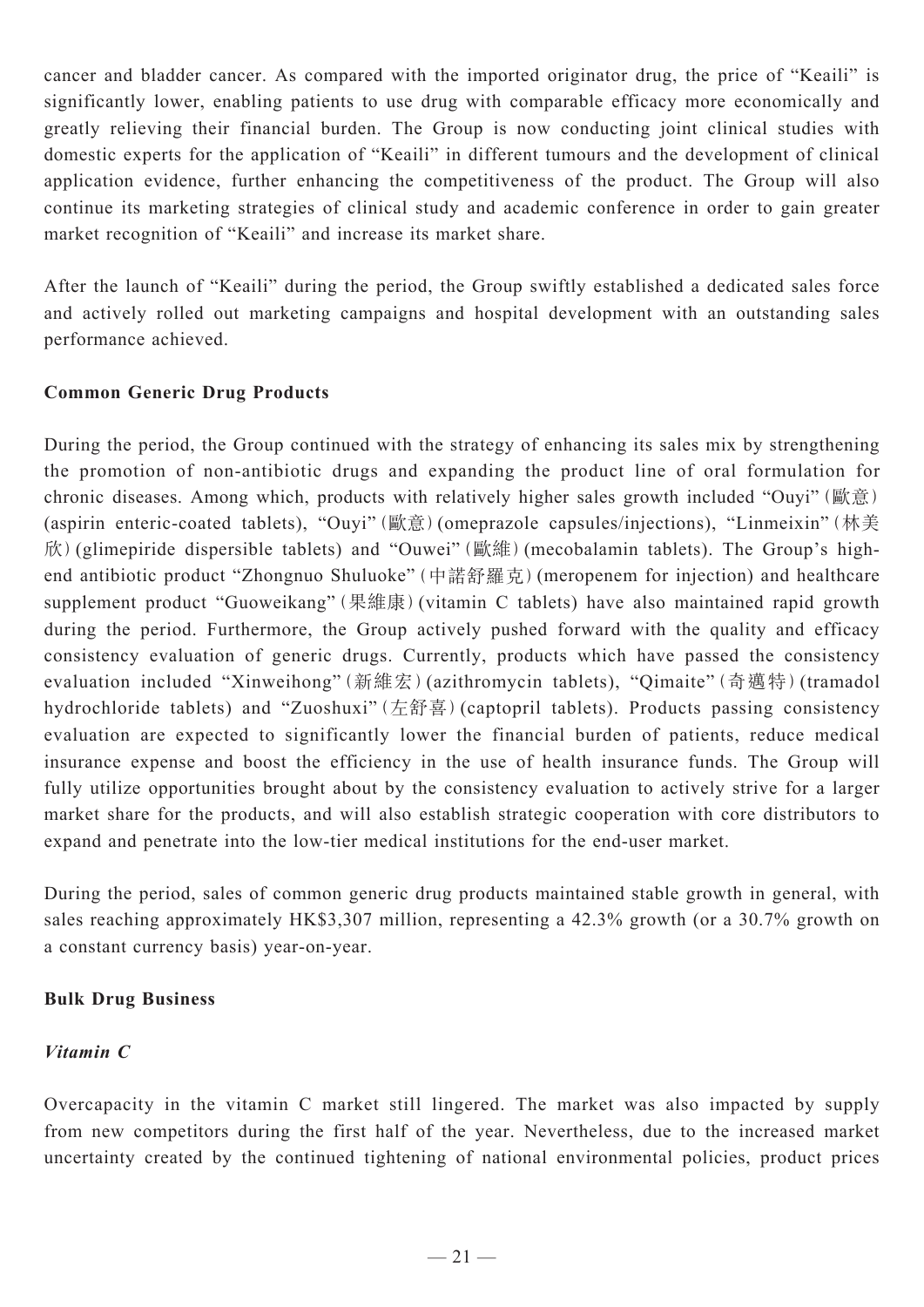cancer and bladder cancer. As compared with the imported originator drug, the price of "Keaili" is significantly lower, enabling patients to use drug with comparable efficacy more economically and greatly relieving their financial burden. The Group is now conducting joint clinical studies with domestic experts for the application of "Keaili" in different tumours and the development of clinical application evidence, further enhancing the competitiveness of the product. The Group will also continue its marketing strategies of clinical study and academic conference in order to gain greater market recognition of "Keaili" and increase its market share.

After the launch of "Keaili" during the period, the Group swiftly established a dedicated sales force and actively rolled out marketing campaigns and hospital development with an outstanding sales performance achieved.

## **Common Generic Drug Products**

During the period, the Group continued with the strategy of enhancing its sales mix by strengthening the promotion of non-antibiotic drugs and expanding the product line of oral formulation for chronic diseases. Among which, products with relatively higher sales growth included "Ouyi"(歐意) (aspirin enteric-coated tablets), "Ouyi"(歐意)(omeprazole capsules/injections), "Linmeixin"(林美 欣)(glimepiride dispersible tablets) and "Ouwei"(歐維)(mecobalamin tablets). The Group's highend antibiotic product "Zhongnuo Shuluoke"(中諾舒羅克)(meropenem for injection) and healthcare supplement product "Guoweikang"(果維康)(vitamin C tablets) have also maintained rapid growth during the period. Furthermore, the Group actively pushed forward with the quality and efficacy consistency evaluation of generic drugs. Currently, products which have passed the consistency evaluation included "Xinweihong"(新維宏)(azithromycin tablets), "Qimaite"(奇邁特)(tramadol hydrochloride tablets) and "Zuoshuxi"(左舒喜)(captopril tablets). Products passing consistency evaluation are expected to significantly lower the financial burden of patients, reduce medical insurance expense and boost the efficiency in the use of health insurance funds. The Group will fully utilize opportunities brought about by the consistency evaluation to actively strive for a larger market share for the products, and will also establish strategic cooperation with core distributors to expand and penetrate into the low-tier medical institutions for the end-user market.

During the period, sales of common generic drug products maintained stable growth in general, with sales reaching approximately HK\$3,307 million, representing a 42.3% growth (or a 30.7% growth on a constant currency basis) year-on-year.

#### **Bulk Drug Business**

#### *Vitamin C*

Overcapacity in the vitamin C market still lingered. The market was also impacted by supply from new competitors during the first half of the year. Nevertheless, due to the increased market uncertainty created by the continued tightening of national environmental policies, product prices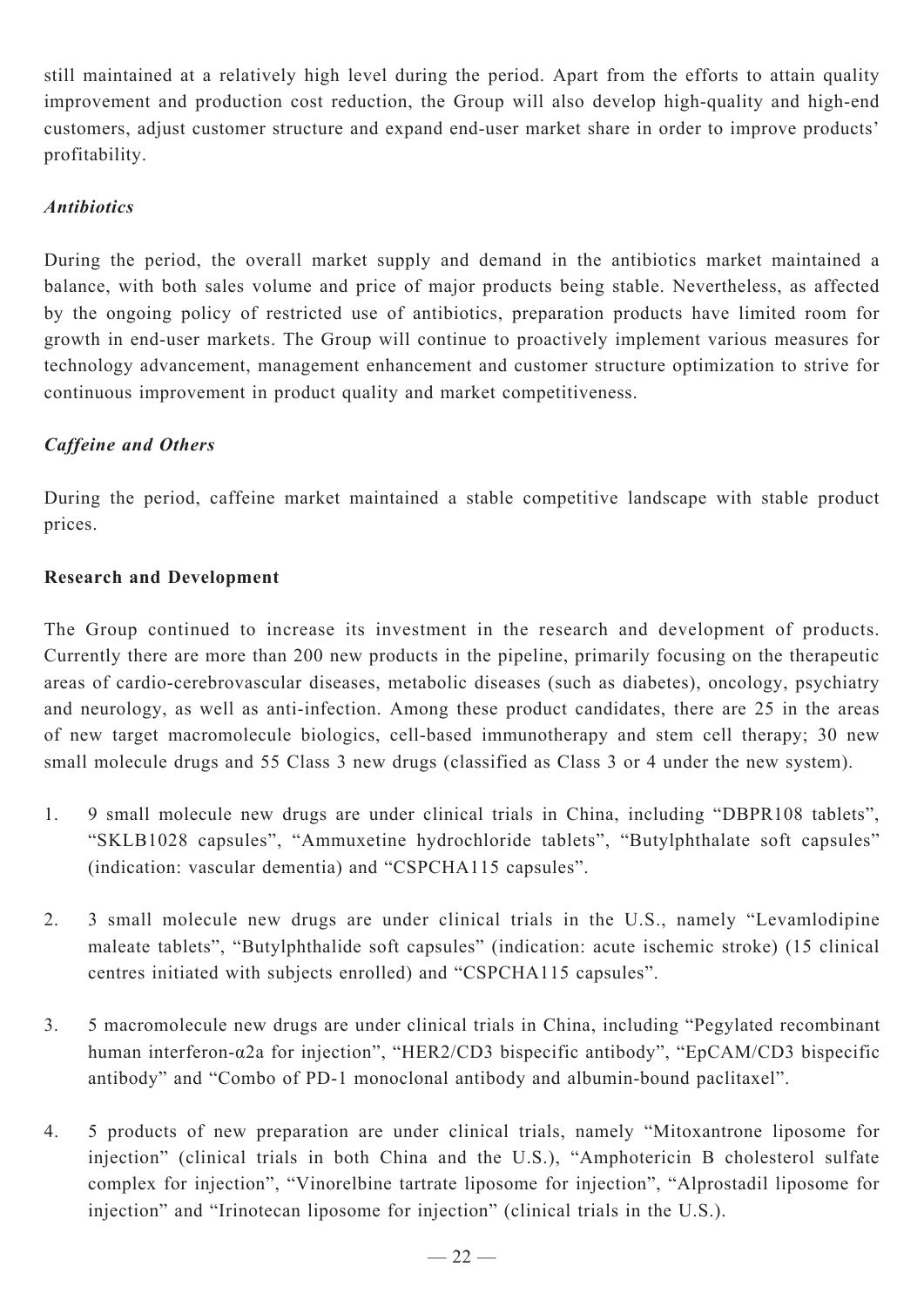still maintained at a relatively high level during the period. Apart from the efforts to attain quality improvement and production cost reduction, the Group will also develop high-quality and high-end customers, adjust customer structure and expand end-user market share in order to improve products' profitability.

### *Antibiotics*

During the period, the overall market supply and demand in the antibiotics market maintained a balance, with both sales volume and price of major products being stable. Nevertheless, as affected by the ongoing policy of restricted use of antibiotics, preparation products have limited room for growth in end-user markets. The Group will continue to proactively implement various measures for technology advancement, management enhancement and customer structure optimization to strive for continuous improvement in product quality and market competitiveness.

### *Caffeine and Others*

During the period, caffeine market maintained a stable competitive landscape with stable product prices.

### **Research and Development**

The Group continued to increase its investment in the research and development of products. Currently there are more than 200 new products in the pipeline, primarily focusing on the therapeutic areas of cardio-cerebrovascular diseases, metabolic diseases (such as diabetes), oncology, psychiatry and neurology, as well as anti-infection. Among these product candidates, there are 25 in the areas of new target macromolecule biologics, cell-based immunotherapy and stem cell therapy; 30 new small molecule drugs and 55 Class 3 new drugs (classified as Class 3 or 4 under the new system).

- 1. 9 small molecule new drugs are under clinical trials in China, including "DBPR108 tablets", "SKLB1028 capsules", "Ammuxetine hydrochloride tablets", "Butylphthalate soft capsules" (indication: vascular dementia) and "CSPCHA115 capsules".
- 2. 3 small molecule new drugs are under clinical trials in the U.S., namely "Levamlodipine maleate tablets", "Butylphthalide soft capsules" (indication: acute ischemic stroke) (15 clinical centres initiated with subjects enrolled) and "CSPCHA115 capsules".
- 3. 5 macromolecule new drugs are under clinical trials in China, including "Pegylated recombinant human interferon-α2a for injection", "HER2/CD3 bispecific antibody", "EpCAM/CD3 bispecific antibody" and "Combo of PD-1 monoclonal antibody and albumin-bound paclitaxel".
- 4. 5 products of new preparation are under clinical trials, namely "Mitoxantrone liposome for injection" (clinical trials in both China and the U.S.), "Amphotericin B cholesterol sulfate complex for injection", "Vinorelbine tartrate liposome for injection", "Alprostadil liposome for injection" and "Irinotecan liposome for injection" (clinical trials in the U.S.).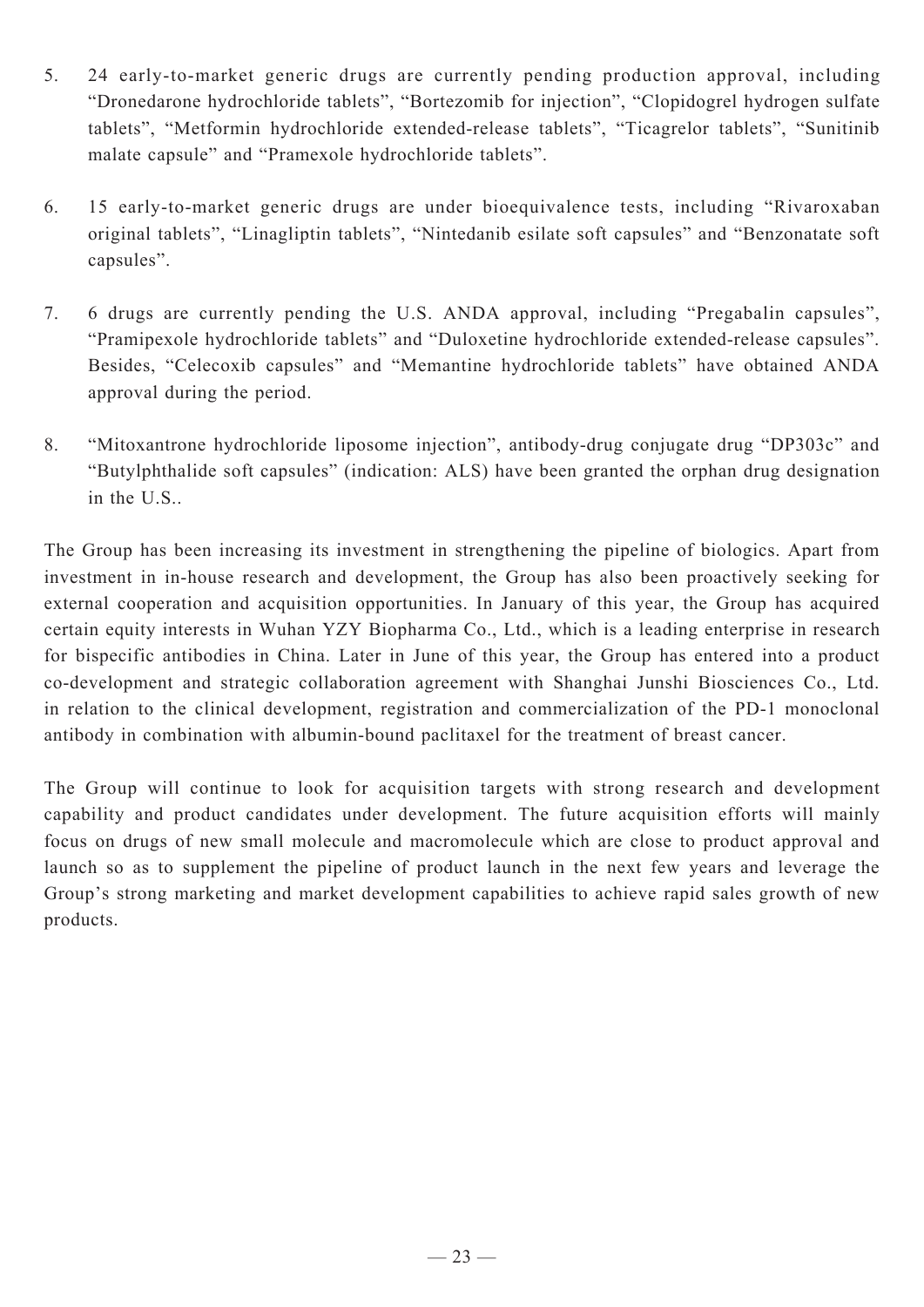- 5. 24 early-to-market generic drugs are currently pending production approval, including "Dronedarone hydrochloride tablets", "Bortezomib for injection", "Clopidogrel hydrogen sulfate tablets", "Metformin hydrochloride extended-release tablets", "Ticagrelor tablets", "Sunitinib malate capsule" and "Pramexole hydrochloride tablets".
- 6. 15 early-to-market generic drugs are under bioequivalence tests, including "Rivaroxaban original tablets", "Linagliptin tablets", "Nintedanib esilate soft capsules" and "Benzonatate soft capsules".
- 7. 6 drugs are currently pending the U.S. ANDA approval, including "Pregabalin capsules", "Pramipexole hydrochloride tablets" and "Duloxetine hydrochloride extended-release capsules". Besides, "Celecoxib capsules" and "Memantine hydrochloride tablets" have obtained ANDA approval during the period.
- 8. "Mitoxantrone hydrochloride liposome injection", antibody-drug conjugate drug "DP303c" and "Butylphthalide soft capsules" (indication: ALS) have been granted the orphan drug designation in the U.S..

The Group has been increasing its investment in strengthening the pipeline of biologics. Apart from investment in in-house research and development, the Group has also been proactively seeking for external cooperation and acquisition opportunities. In January of this year, the Group has acquired certain equity interests in Wuhan YZY Biopharma Co., Ltd., which is a leading enterprise in research for bispecific antibodies in China. Later in June of this year, the Group has entered into a product co-development and strategic collaboration agreement with Shanghai Junshi Biosciences Co., Ltd. in relation to the clinical development, registration and commercialization of the PD-1 monoclonal antibody in combination with albumin-bound paclitaxel for the treatment of breast cancer.

The Group will continue to look for acquisition targets with strong research and development capability and product candidates under development. The future acquisition efforts will mainly focus on drugs of new small molecule and macromolecule which are close to product approval and launch so as to supplement the pipeline of product launch in the next few years and leverage the Group's strong marketing and market development capabilities to achieve rapid sales growth of new products.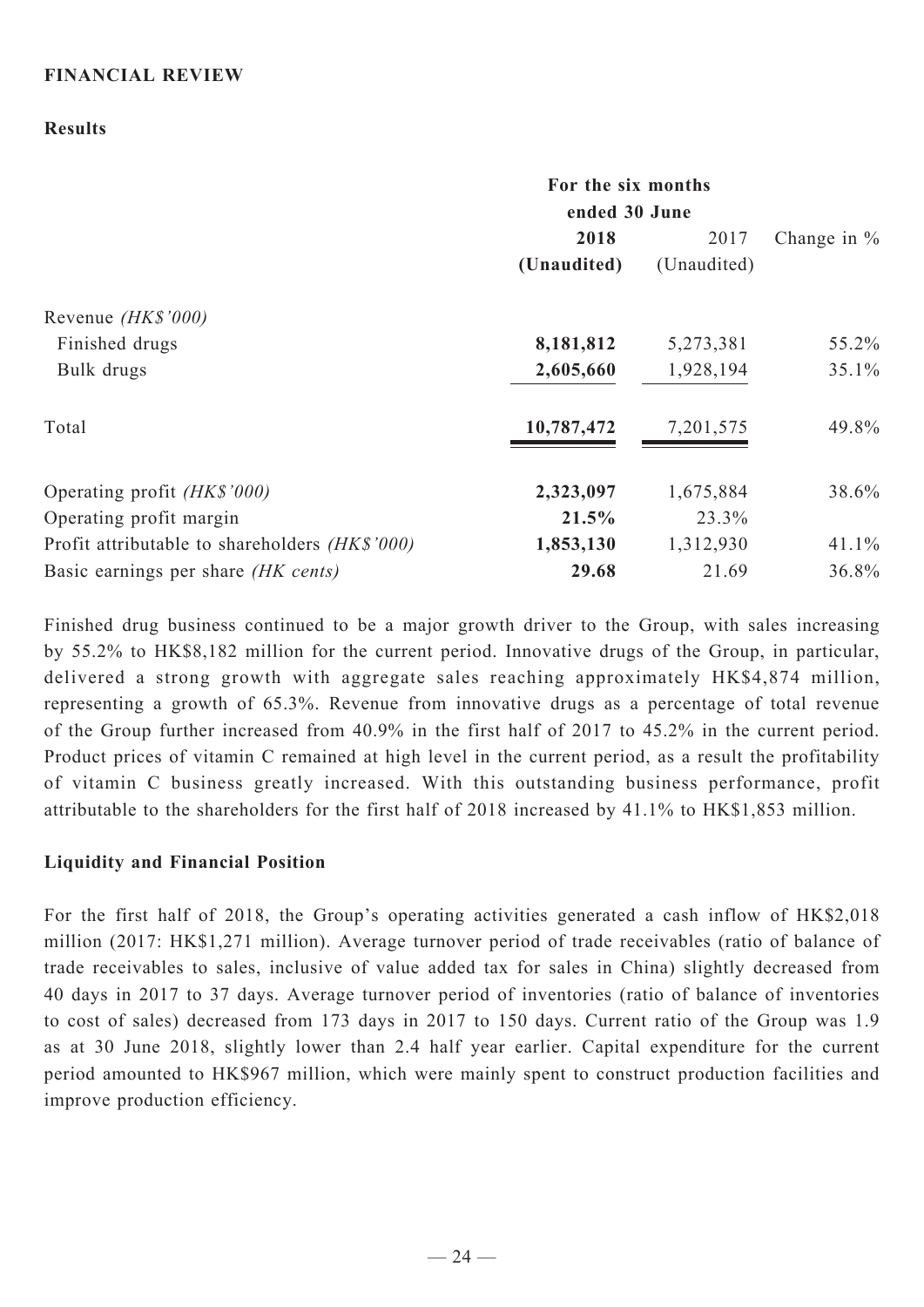#### **FINANCIAL REVIEW**

#### **Results**

|                                                | For the six months<br>ended 30 June |             |                |
|------------------------------------------------|-------------------------------------|-------------|----------------|
|                                                | 2018                                | 2017        | Change in $\%$ |
|                                                | (Unaudited)                         | (Unaudited) |                |
| Revenue ( <i>HK\$'000</i> )                    |                                     |             |                |
| Finished drugs                                 | 8,181,812                           | 5,273,381   | 55.2%          |
| Bulk drugs                                     | 2,605,660                           | 1,928,194   | 35.1%          |
| Total                                          | 10,787,472                          | 7,201,575   | 49.8%          |
| Operating profit (HK\$'000)                    | 2,323,097                           | 1,675,884   | 38.6%          |
| Operating profit margin                        | 21.5%                               | 23.3%       |                |
| Profit attributable to shareholders (HK\$'000) | 1,853,130                           | 1,312,930   | 41.1%          |
| Basic earnings per share (HK cents)            | 29.68                               | 21.69       | 36.8%          |

Finished drug business continued to be a major growth driver to the Group, with sales increasing by 55.2% to HK\$8,182 million for the current period. Innovative drugs of the Group, in particular, delivered a strong growth with aggregate sales reaching approximately HK\$4,874 million, representing a growth of 65.3%. Revenue from innovative drugs as a percentage of total revenue of the Group further increased from 40.9% in the first half of 2017 to 45.2% in the current period. Product prices of vitamin C remained at high level in the current period, as a result the profitability of vitamin C business greatly increased. With this outstanding business performance, profit attributable to the shareholders for the first half of 2018 increased by 41.1% to HK\$1,853 million.

#### **Liquidity and Financial Position**

For the first half of 2018, the Group's operating activities generated a cash inflow of HK\$2,018 million (2017: HK\$1,271 million). Average turnover period of trade receivables (ratio of balance of trade receivables to sales, inclusive of value added tax for sales in China) slightly decreased from 40 days in 2017 to 37 days. Average turnover period of inventories (ratio of balance of inventories to cost of sales) decreased from 173 days in 2017 to 150 days. Current ratio of the Group was 1.9 as at 30 June 2018, slightly lower than 2.4 half year earlier. Capital expenditure for the current period amounted to HK\$967 million, which were mainly spent to construct production facilities and improve production efficiency.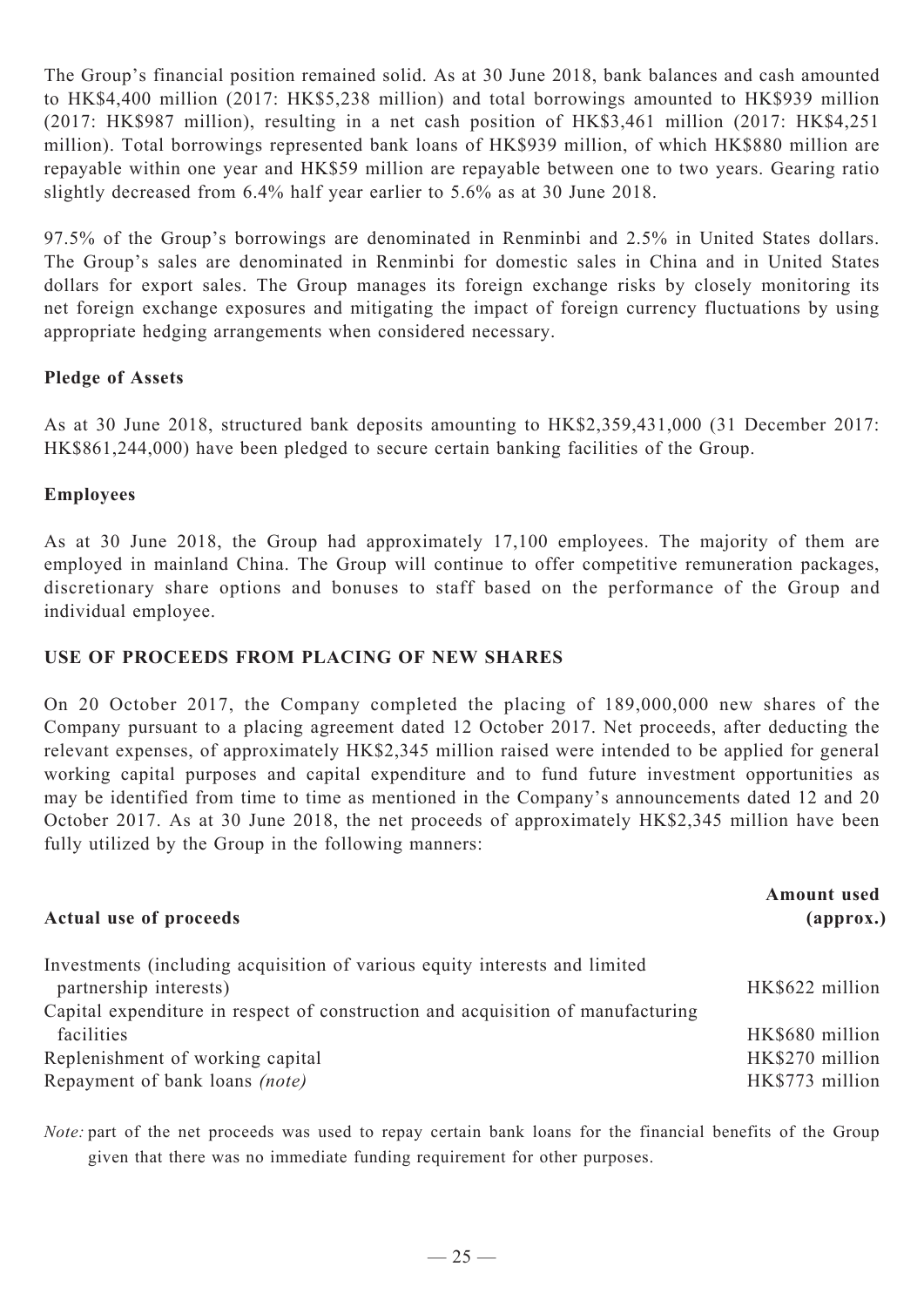The Group's financial position remained solid. As at 30 June 2018, bank balances and cash amounted to HK\$4,400 million (2017: HK\$5,238 million) and total borrowings amounted to HK\$939 million (2017: HK\$987 million), resulting in a net cash position of HK\$3,461 million (2017: HK\$4,251 million). Total borrowings represented bank loans of HK\$939 million, of which HK\$880 million are repayable within one year and HK\$59 million are repayable between one to two years. Gearing ratio slightly decreased from 6.4% half year earlier to 5.6% as at 30 June 2018.

97.5% of the Group's borrowings are denominated in Renminbi and 2.5% in United States dollars. The Group's sales are denominated in Renminbi for domestic sales in China and in United States dollars for export sales. The Group manages its foreign exchange risks by closely monitoring its net foreign exchange exposures and mitigating the impact of foreign currency fluctuations by using appropriate hedging arrangements when considered necessary.

### **Pledge of Assets**

As at 30 June 2018, structured bank deposits amounting to HK\$2,359,431,000 (31 December 2017: HK\$861,244,000) have been pledged to secure certain banking facilities of the Group.

#### **Employees**

As at 30 June 2018, the Group had approximately 17,100 employees. The majority of them are employed in mainland China. The Group will continue to offer competitive remuneration packages, discretionary share options and bonuses to staff based on the performance of the Group and individual employee.

### **Use of proceeds from placing of new shares**

On 20 October 2017, the Company completed the placing of 189,000,000 new shares of the Company pursuant to a placing agreement dated 12 October 2017. Net proceeds, after deducting the relevant expenses, of approximately HK\$2,345 million raised were intended to be applied for general working capital purposes and capital expenditure and to fund future investment opportunities as may be identified from time to time as mentioned in the Company's announcements dated 12 and 20 October 2017. As at 30 June 2018, the net proceeds of approximately HK\$2,345 million have been fully utilized by the Group in the following manners:

| <b>Amount</b> used<br>${\bf (approx.)}$ |
|-----------------------------------------|
|                                         |
| HK\$622 million                         |
|                                         |
| HK\$680 million                         |
| HK\$270 million                         |
| HK\$773 million                         |
|                                         |

*Note:* part of the net proceeds was used to repay certain bank loans for the financial benefits of the Group given that there was no immediate funding requirement for other purposes.